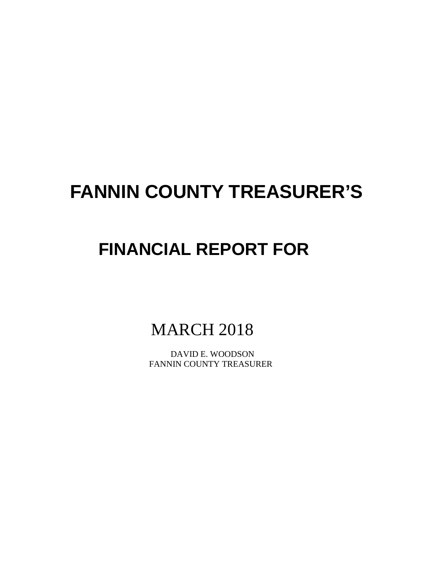# **FANNIN COUNTY TREASURER'S**

## **FINANCIAL REPORT FOR**

## MARCH 2018

 DAVID E. WOODSON FANNIN COUNTY TREASURER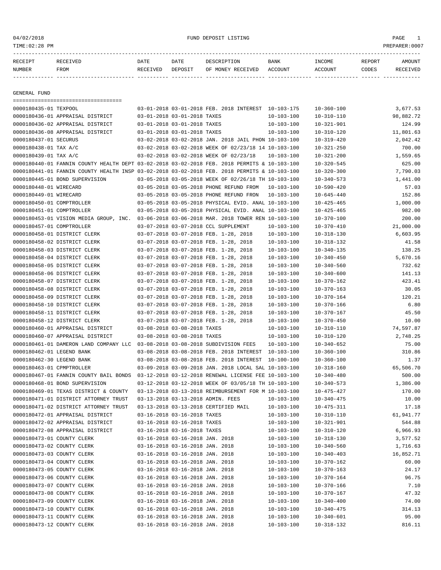04/02/2018 FUND DEPOSIT LISTING PAGE 1

| RECEIPT | RECEIVED | DATE     | DATE    | DESCRIPTION       | <b>BANK</b> | <b>TNCOME</b> | REPORT | AMOUNT          |
|---------|----------|----------|---------|-------------------|-------------|---------------|--------|-----------------|
| NUMBER  | FROM     | RECEIVED | DEPOSIT | OF MONEY RECEIVED | ACCOUNT     | ACCOUNT       | CODES  | <b>RECEIVED</b> |
|         |          |          |         |                   |             |               |        |                 |

GENERAL FUND

|                            | ======================================                                                       |                                 |                                                      |                  |                  |                     |
|----------------------------|----------------------------------------------------------------------------------------------|---------------------------------|------------------------------------------------------|------------------|------------------|---------------------|
| 0000180435-01 TEXPOOL      |                                                                                              |                                 | 03-01-2018 03-01-2018 FEB. 2018 INTEREST 10-103-175  |                  | $10 - 360 - 100$ | 3,677.53            |
|                            | 0000180436-01 APPRAISAL DISTRICT                                                             | 03-01-2018 03-01-2018 TAXES     |                                                      | $10 - 103 - 100$ | $10 - 310 - 110$ | 98,882.72           |
|                            | 0000180436-02 APPRAISAL DISTRICT                                                             | 03-01-2018 03-01-2018 TAXES     |                                                      | $10 - 103 - 100$ | $10 - 321 - 901$ | 124.99              |
|                            | 0000180436-08 APPRAISAL DISTRICT                                                             | 03-01-2018 03-01-2018 TAXES     |                                                      | $10 - 103 - 100$ | $10 - 310 - 120$ | 11,801.63           |
| 0000180437-01 SECURUS      |                                                                                              |                                 | 03-02-2018 03-02-2018 JAN. 2018 JAIL PHON 10-103-100 |                  | $10 - 319 - 420$ | 2,042.42            |
| 0000180438-01 TAX A/C      |                                                                                              |                                 | 03-02-2018 03-02-2018 WEEK OF 02/23/18 14 10-103-100 |                  | $10 - 321 - 250$ | 700.00              |
| 0000180439-01 TAX A/C      |                                                                                              |                                 | 03-02-2018 03-02-2018 WEEK OF 02/23/18               | 10-103-100       | $10 - 321 - 200$ | 1,559.65            |
|                            | 0000180440-01 FANNIN COUNTY HEALTH DEPT 03-02-2018 03-02-2018 FEB. 2018 PERMITS & 10-103-100 |                                 |                                                      |                  | $10 - 320 - 545$ | 625.00              |
|                            | 0000180441-01 FANNIN COUNTY HEALTH INSP 03-02-2018 03-02-2018 FEB. 2018 PERMITS & 10-103-100 |                                 |                                                      |                  | $10 - 320 - 300$ | 7.790.03            |
|                            | 0000180445-01 BOND SUPERVISION                                                               |                                 | 03-05-2018 03-05-2018 WEEK OF 02/26/18 TH 10-103-100 |                  | $10 - 340 - 573$ | 1,441.00            |
| 0000180448-01 WIRECARD     |                                                                                              |                                 | 03-05-2018 03-05-2018 PHONE REFUND FROM              | 10-103-100       | $10 - 590 - 420$ | 57.03               |
| 0000180449-01 WIRECARD     |                                                                                              |                                 | 03-05-2018 03-05-2018 PHONE REFUND FRON              | $10 - 103 - 100$ | $10 - 645 - 440$ | 152.86              |
| 0000180450-01 COMPTROLLER  |                                                                                              |                                 | 03-05-2018 03-05-2018 PHYSICAL EVID. ANAL 10-103-100 |                  | $10 - 425 - 465$ | 1,000.00            |
| 0000180451-01 COMPTROLLER  |                                                                                              |                                 | 03-05-2018 03-05-2018 PHYSICAL EVID. ANAL 10-103-100 |                  | $10 - 425 - 465$ | 982.00              |
|                            | 0000180453-01 VISION MEDIA GROUP, INC.                                                       |                                 | 03-06-2018 03-06-2018 MAR. 2018 TOWER REN 10-103-100 |                  | $10 - 370 - 100$ | 200.00              |
| 0000180457-01 COMPTROLLER  |                                                                                              |                                 | 03-07-2018 03-07-2018 CCL SUPPLEMENT                 | $10 - 103 - 100$ | $10 - 370 - 410$ | 21,000.00           |
|                            | 0000180458-01 DISTRICT CLERK                                                                 |                                 | 03-07-2018 03-07-2018 FEB. 1-28, 2018                | $10 - 103 - 100$ | $10 - 318 - 130$ | 6,603.95            |
|                            | 0000180458-02 DISTRICT CLERK                                                                 |                                 | 03-07-2018 03-07-2018 FEB. 1-28, 2018                | 10-103-100       | $10 - 318 - 132$ | 41.58               |
|                            | 0000180458-03 DISTRICT CLERK                                                                 |                                 | 03-07-2018 03-07-2018 FEB. 1-28, 2018                | $10 - 103 - 100$ | $10 - 340 - 135$ | 138.25              |
|                            | 0000180458-04 DISTRICT CLERK                                                                 |                                 | 03-07-2018 03-07-2018 FEB. 1-28, 2018                | $10 - 103 - 100$ | $10 - 340 - 450$ | 5,670.16            |
|                            | 0000180458-05 DISTRICT CLERK                                                                 |                                 | 03-07-2018 03-07-2018 FEB. 1-28, 2018                | $10 - 103 - 100$ | $10 - 340 - 560$ | 732.62              |
|                            | 0000180458-06 DISTRICT CLERK                                                                 |                                 | 03-07-2018 03-07-2018 FEB. 1-28, 2018                | $10 - 103 - 100$ | $10 - 340 - 600$ | 141.13              |
|                            | 0000180458-07 DISTRICT CLERK                                                                 |                                 | 03-07-2018 03-07-2018 FEB. 1-28, 2018                | $10 - 103 - 100$ | $10 - 370 - 162$ | 423.41              |
|                            | 0000180458-08 DISTRICT CLERK                                                                 |                                 | 03-07-2018 03-07-2018 FEB. 1-28, 2018                | $10 - 103 - 100$ | $10 - 370 - 163$ | 30.05               |
|                            | 0000180458-09 DISTRICT CLERK                                                                 |                                 | 03-07-2018 03-07-2018 FEB. 1-28, 2018                | $10 - 103 - 100$ | $10 - 370 - 164$ | 120.21              |
|                            | 0000180458-10 DISTRICT CLERK                                                                 |                                 | 03-07-2018 03-07-2018 FEB. 1-28, 2018                | $10 - 103 - 100$ | $10 - 370 - 166$ | 6.80                |
|                            | 0000180458-11 DISTRICT CLERK                                                                 |                                 | 03-07-2018 03-07-2018 FEB. 1-28, 2018                | $10 - 103 - 100$ | $10 - 370 - 167$ | 45.50               |
|                            | 0000180458-12 DISTRICT CLERK                                                                 |                                 | 03-07-2018 03-07-2018 FEB. 1-28, 2018                | $10 - 103 - 100$ | $10 - 370 - 450$ | 10.00               |
|                            | 0000180460-01 APPRAISAL DISTRICT                                                             | 03-08-2018 03-08-2018 TAXES     |                                                      | $10 - 103 - 100$ | $10 - 310 - 110$ | 74,597.87           |
|                            | 0000180460-07 APPRAISAL DISTRICT                                                             | 03-08-2018 03-08-2018 TAXES     |                                                      | $10 - 103 - 100$ | $10 - 310 - 120$ | 2,748.25            |
|                            | 0000180461-01 DAMERON LAND COMPANY LLC                                                       |                                 | 03-08-2018 03-08-2018 SUBDIVISION FEES               | $10 - 103 - 100$ | $10 - 340 - 652$ | 75.00               |
|                            |                                                                                              |                                 |                                                      |                  |                  | 310.86              |
| 0000180462-01 LEGEND BANK  |                                                                                              |                                 | 03-08-2018 03-08-2018 FEB. 2018 INTEREST 10-103-100  |                  | $10 - 360 - 100$ |                     |
| 0000180462-30 LEGEND BANK  |                                                                                              |                                 | 03-08-2018 03-08-2018 FEB. 2018 INTEREST 10-100-100  |                  | $10 - 360 - 100$ | 1.37                |
| 0000180463-01 CPMPTROLLER  | 0000180467-01 FANNIN COUNTY BAIL BONDS                                                       |                                 | 03-09-2018 03-09-2018 JAN. 2018 LOCAL SAL 10-103-100 |                  | $10 - 318 - 160$ | 65,506.70<br>500.00 |
|                            |                                                                                              |                                 | 03-12-2018 03-12-2018 RENEWAL LICENSE FEE 10-103-100 |                  | $10 - 340 - 480$ |                     |
|                            | 0000180468-01 BOND SUPERVISION                                                               |                                 | 03-12-2018 03-12-2018 WEEK OF 03/05/18 TH 10-103-100 |                  | $10 - 340 - 573$ | 1,386.00            |
|                            | 0000180469-01 TEXAS DISTRICT & COUNTY                                                        |                                 | 03-13-2018 03-13-2018 REIMBURSEMENT FOR M 10-103-100 |                  | $10 - 475 - 427$ | 170.00              |
|                            | 0000180471-01 DISTRICT ATTORNEY TRUST                                                        |                                 | 03-13-2018 03-13-2018 ADMIN. FEES                    | 10-103-100       | $10 - 340 - 475$ | 10.00               |
|                            | 0000180471-02 DISTRICT ATTORNEY TRUST                                                        |                                 | 03-13-2018 03-13-2018 CERTIFIED MAIL                 | 10-103-100       | $10 - 475 - 311$ | 17.18               |
|                            | 0000180472-01 APPRAISAL DISTRICT                                                             | 03-16-2018 03-16-2018 TAXES     |                                                      | $10 - 103 - 100$ | $10 - 310 - 110$ | 61,941.77           |
|                            | 0000180472-02 APPRAISAL DISTRICT                                                             | 03-16-2018 03-16-2018 TAXES     |                                                      | 10-103-100       | $10 - 321 - 901$ | 544.88              |
|                            | 0000180472-08 APPRAISAL DISTRICT                                                             | 03-16-2018 03-16-2018 TAXES     |                                                      | $10 - 103 - 100$ | $10 - 310 - 120$ | 6,966.93            |
| 0000180473-01 COUNTY CLERK |                                                                                              | 03-16-2018 03-16-2018 JAN. 2018 |                                                      | $10 - 103 - 100$ | $10 - 318 - 130$ | 3,577.52            |
| 0000180473-02 COUNTY CLERK |                                                                                              | 03-16-2018 03-16-2018 JAN. 2018 |                                                      | $10 - 103 - 100$ | $10 - 340 - 560$ | 1,716.63            |
| 0000180473-03 COUNTY CLERK |                                                                                              | 03-16-2018 03-16-2018 JAN. 2018 |                                                      | $10 - 103 - 100$ | $10 - 340 - 403$ | 16,852.71           |
| 0000180473-04 COUNTY CLERK |                                                                                              | 03-16-2018 03-16-2018 JAN. 2018 |                                                      | $10 - 103 - 100$ | $10 - 370 - 162$ | 60.00               |
| 0000180473-05 COUNTY CLERK |                                                                                              | 03-16-2018 03-16-2018 JAN. 2018 |                                                      | 10-103-100       | $10 - 370 - 163$ | 24.17               |
| 0000180473-06 COUNTY CLERK |                                                                                              | 03-16-2018 03-16-2018 JAN. 2018 |                                                      | $10 - 103 - 100$ | $10 - 370 - 164$ | 96.75               |
| 0000180473-07 COUNTY CLERK |                                                                                              | 03-16-2018 03-16-2018 JAN. 2018 |                                                      | $10 - 103 - 100$ | $10 - 370 - 166$ | 7.10                |
| 0000180473-08 COUNTY CLERK |                                                                                              | 03-16-2018 03-16-2018 JAN. 2018 |                                                      | $10 - 103 - 100$ | $10 - 370 - 167$ | 47.32               |
| 0000180473-09 COUNTY CLERK |                                                                                              | 03-16-2018 03-16-2018 JAN. 2018 |                                                      | $10 - 103 - 100$ | $10 - 340 - 400$ | 74.00               |
| 0000180473-10 COUNTY CLERK |                                                                                              | 03-16-2018 03-16-2018 JAN. 2018 |                                                      | $10 - 103 - 100$ | $10 - 340 - 475$ | 314.13              |
| 0000180473-11 COUNTY CLERK |                                                                                              | 03-16-2018 03-16-2018 JAN. 2018 |                                                      | $10 - 103 - 100$ | $10 - 340 - 601$ | 95.00               |
| 0000180473-12 COUNTY CLERK |                                                                                              | 03-16-2018 03-16-2018 JAN. 2018 |                                                      | $10 - 103 - 100$ | $10 - 318 - 132$ | 816.11              |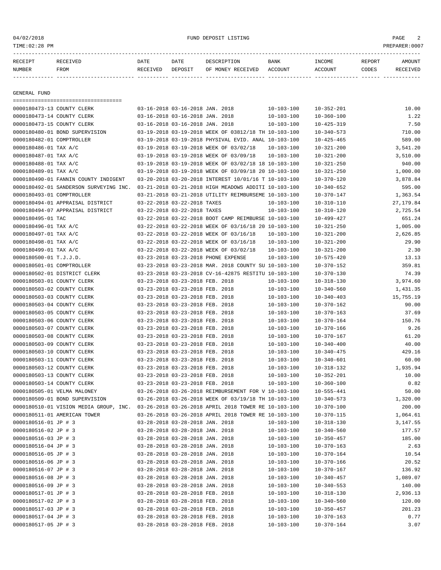#### 04/02/2018 FUND DEPOSIT LISTING PAGE 2

| $PFT^*$ |             | DATE        | OATE     |                          | <b>BANK</b>    | <b>INCOME</b> | REPORT |  |
|---------|-------------|-------------|----------|--------------------------|----------------|---------------|--------|--|
| NUMBEH  | <b>FROM</b> | TIJT<br>DE. | די⊃∩מיםר | RECEIVED<br>MONE Y<br>חר | $\cdot$ OTINTT |               | ∩Un≞a  |  |

------------- ------------------------- ---------- ---------- ------------------- -------------- -------------- ------ ------------

GENERAL FUND

| ====================================                                                                                          |                                                                                                              |                                      |                                      |                    |
|-------------------------------------------------------------------------------------------------------------------------------|--------------------------------------------------------------------------------------------------------------|--------------------------------------|--------------------------------------|--------------------|
| 0000180473-13 COUNTY CLERK                                                                                                    | 03-16-2018 03-16-2018 JAN. 2018                                                                              | $10 - 103 - 100$                     | $10 - 352 - 201$                     | 10.00              |
| 0000180473-14 COUNTY CLERK                                                                                                    | 03-16-2018 03-16-2018 JAN. 2018                                                                              | $10 - 103 - 100$                     | $10 - 360 - 100$                     | 1.22               |
| 0000180473-15 COUNTY CLERK                                                                                                    | 03-16-2018 03-16-2018 JAN. 2018                                                                              | $10 - 103 - 100$                     | $10 - 425 - 319$                     | 7.50               |
| 0000180480-01 BOND SUPERVISION                                                                                                | 03-19-2018 03-19-2018 WEEK OF 03812/18 TH 10-103-100                                                         |                                      | $10 - 340 - 573$                     | 710.00             |
| 0000180482-01 COMPTROLLER                                                                                                     | 03-19-2018 03-19-2018 PHYSIVAL EVID. ANAL 10-103-100                                                         |                                      | $10 - 425 - 465$                     | 589.00             |
| 0000180486-01 TAX A/C                                                                                                         | 03-19-2018 03-19-2018 WEEK OF 03/02/18                                                                       | $10 - 103 - 100$                     | $10 - 321 - 200$                     | 3,541.20           |
| 0000180487-01 TAX A/C                                                                                                         | 03-19-2018 03-19-2018 WEEK OF 03/09/18                                                                       | $10 - 103 - 100$                     | $10 - 321 - 200$                     | 3,510.00           |
| 0000180488-01 TAX A/C                                                                                                         | 03-19-2018 03-19-2018 WEEK OF 03/02/18 18 10-103-100                                                         |                                      | $10 - 321 - 250$                     | 940.00             |
| 0000180489-01 TAX A/C                                                                                                         | 03-19-2018 03-19-2018 WEEK OF 03/09/18 20 10-103-100                                                         |                                      | $10 - 321 - 250$                     | 1,000.00           |
| 0000180490-01 FANNIN COUNTY INDIGENT                                                                                          | 03-20-2018 03-20-2018 INTEREST 10/01/16 T 10-103-100                                                         |                                      | $10 - 370 - 120$                     | 3,878.84           |
| 0000180492-01 SANDERSON SURVEYING INC.                                                                                        | 03-21-2018 03-21-2018 HIGH MEADOWS ADDITI 10-103-100                                                         |                                      | $10 - 340 - 652$                     | 595.00             |
| 0000180493-01 COMPTROLLER                                                                                                     | 03-21-2018 03-21-2018 UTILITY REIMBURSEME 10-103-100                                                         |                                      | $10 - 370 - 147$                     | 1,363.54           |
| 0000180494-01 APPRAISAL DISTRICT                                                                                              | 03-22-2018 03-22-2018 TAXES                                                                                  | $10 - 103 - 100$                     | $10 - 310 - 110$                     | 27,179.84          |
| 0000180494-07 APPRAISAL DISTRICT                                                                                              | 03-22-2018 03-22-2018 TAXES                                                                                  | $10 - 103 - 100$                     | $10 - 310 - 120$                     | 2,725.54           |
| 0000180495-01 TAC                                                                                                             | 03-22-2018 03-22-2018 BOOT CAMP REIMBURSE 10-103-100                                                         |                                      | $10 - 499 - 427$                     | 651.24             |
| 0000180496-01 TAX A/C                                                                                                         | 03-22-2018 03-22-2018 WEEK OF 03/16/18 20 10-103-100                                                         |                                      | $10 - 321 - 250$                     | 1,005.00           |
| 0000180497-01 TAX A/C                                                                                                         | 03-22-2018 03-22-2018 WEEK OF 03/16/18                                                                       | 10-103-100                           | $10 - 321 - 200$                     | 2,626.85           |
| 0000180498-01 TAX A/C                                                                                                         | 03-22-2018 03-22-2018 WEEK OF 03/16/18                                                                       | $10 - 103 - 100$                     | $10 - 321 - 200$                     | 29.90              |
| 0000180499-01 TAX A/C                                                                                                         | 03-22-2018 03-22-2018 WEEK OF 03/02/18                                                                       | $10 - 103 - 100$                     | $10 - 321 - 200$                     | 2.30               |
| 0000180500-01 T.J.J.D.                                                                                                        | 03-23-2018 03-23-2018 PHONE EXPENSE                                                                          | $10 - 103 - 100$                     | $10 - 575 - 420$                     | 13.13              |
| 0000180501-01 COMPTROLLER                                                                                                     | 03-23-2018 03-23-2018 MAR. 2018 COUNTY SU 10-103-100                                                         |                                      | $10 - 370 - 152$                     | 359.81             |
| 0000180502-01 DISTRICT CLERK                                                                                                  | 03-23-2018 03-23-2018 CV-16-42875 RESTITU 10-103-100                                                         |                                      | $10 - 370 - 130$                     | 74.39              |
| 0000180503-01 COUNTY CLERK                                                                                                    | 03-23-2018 03-23-2018 FEB. 2018                                                                              | $10 - 103 - 100$                     | $10 - 318 - 130$                     | 3,974.60           |
| 0000180503-02 COUNTY CLERK                                                                                                    | 03-23-2018 03-23-2018 FEB. 2018                                                                              | $10 - 103 - 100$                     | $10 - 340 - 560$                     | 1,431.35           |
| 0000180503-03 COUNTY CLERK                                                                                                    | 03-23-2018 03-23-2018 FEB. 2018                                                                              | $10 - 103 - 100$                     | $10 - 340 - 403$                     | 15,755.19          |
| 0000180503-04 COUNTY CLERK                                                                                                    | 03-23-2018 03-23-2018 FEB. 2018                                                                              | $10 - 103 - 100$                     | $10 - 370 - 162$                     | 90.00              |
| 0000180503-05 COUNTY CLERK                                                                                                    | 03-23-2018 03-23-2018 FEB. 2018                                                                              | $10 - 103 - 100$                     | $10 - 370 - 163$                     | 37.69              |
| 0000180503-06 COUNTY CLERK                                                                                                    | 03-23-2018 03-23-2018 FEB. 2018                                                                              | $10 - 103 - 100$                     | $10 - 370 - 164$                     | 150.76             |
| 0000180503-07 COUNTY CLERK                                                                                                    | 03-23-2018 03-23-2018 FEB. 2018                                                                              | $10 - 103 - 100$                     | $10 - 370 - 166$                     | 9.26               |
| 0000180503-08 COUNTY CLERK                                                                                                    | 03-23-2018 03-23-2018 FEB. 2018                                                                              | $10 - 103 - 100$                     | 10-370-167                           | 61.20              |
| 0000180503-09 COUNTY CLERK                                                                                                    | 03-23-2018 03-23-2018 FEB. 2018                                                                              | $10 - 103 - 100$                     | $10 - 340 - 400$                     | 40.00              |
| 0000180503-10 COUNTY CLERK                                                                                                    | 03-23-2018 03-23-2018 FEB. 2018                                                                              | $10 - 103 - 100$                     | $10 - 340 - 475$                     | 429.16             |
| 0000180503-11 COUNTY CLERK                                                                                                    | 03-23-2018 03-23-2018 FEB. 2018                                                                              | $10 - 103 - 100$                     | $10 - 340 - 601$                     | 60.00              |
| 0000180503-12 COUNTY CLERK                                                                                                    | 03-23-2018 03-23-2018 FEB. 2018                                                                              | $10 - 103 - 100$                     | $10 - 318 - 132$                     | 1,935.94           |
| 0000180503-13 COUNTY CLERK                                                                                                    | 03-23-2018 03-23-2018 FEB. 2018                                                                              |                                      | $10 - 352 - 201$                     | 10.00              |
| 0000180503-14 COUNTY CLERK                                                                                                    | 03-23-2018 03-23-2018 FEB. 2018                                                                              | $10 - 103 - 100$<br>$10 - 103 - 100$ | $10 - 360 - 100$                     | 0.82               |
|                                                                                                                               |                                                                                                              |                                      |                                      |                    |
| 0000180505-01 VELMA MALONEY                                                                                                   | 03-26-2018 03-26-2018 REIMBURSEMENT FOR V 10-103-100<br>03-26-2018 03-26-2018 WEEK OF 03/19/18 TH 10-103-100 |                                      | $10 - 555 - 441$                     | 50.00              |
| 0000180509-01 BOND SUPERVISION<br>0000180510-01 VISION MEDIA GROUP, INC. 03-26-2018 03-26-2018 APRIL 2018 TOWER RE 10-103-100 |                                                                                                              |                                      | $10 - 340 - 573$<br>$10 - 370 - 100$ | 1,320.00<br>200.00 |
|                                                                                                                               |                                                                                                              |                                      | $10 - 370 - 115$                     | 1,064.61           |
| 0000180511-01 AMERICAN TOWER                                                                                                  | 03-26-2018 03-26-2018 APRIL 2018 TOWER RE 10-103-100                                                         |                                      |                                      | 3,147.55           |
| 0000180516-01 JP # 3                                                                                                          | 03-28-2018 03-28-2018 JAN. 2018                                                                              | $10 - 103 - 100$                     | $10 - 318 - 130$                     |                    |
| 0000180516-02 JP # 3                                                                                                          | 03-28-2018 03-28-2018 JAN. 2018                                                                              | $10 - 103 - 100$                     | $10 - 340 - 560$                     | 177.57             |
| 0000180516-03 JP # 3                                                                                                          | 03-28-2018 03-28-2018 JAN. 2018                                                                              | $10 - 103 - 100$                     | $10 - 350 - 457$                     | 185.00             |
| 0000180516-04 JP # 3                                                                                                          | 03-28-2018 03-28-2018 JAN. 2018                                                                              | $10 - 103 - 100$                     | $10 - 370 - 163$                     | 2.63               |
| 0000180516-05 JP # 3                                                                                                          | 03-28-2018 03-28-2018 JAN. 2018                                                                              | $10 - 103 - 100$                     | $10 - 370 - 164$                     | 10.54              |
| 0000180516-06 JP # 3                                                                                                          | 03-28-2018 03-28-2018 JAN. 2018                                                                              | $10 - 103 - 100$                     | $10 - 370 - 166$                     | 20.52              |
| 0000180516-07 JP # 3                                                                                                          | 03-28-2018 03-28-2018 JAN. 2018                                                                              | $10 - 103 - 100$                     | $10 - 370 - 167$                     | 136.92             |
| 0000180516-08 JP # 3                                                                                                          | 03-28-2018 03-28-2018 JAN. 2018                                                                              | $10 - 103 - 100$                     | $10 - 340 - 457$                     | 1,089.07           |
| 0000180516-09 JP # 3                                                                                                          | 03-28-2018 03-28-2018 JAN. 2018                                                                              | $10 - 103 - 100$                     | $10 - 340 - 553$                     | 140.00             |
| 0000180517-01 JP # 3                                                                                                          | 03-28-2018 03-28-2018 FEB. 2018                                                                              | $10 - 103 - 100$                     | $10 - 318 - 130$                     | 2,936.13           |
| 0000180517-02 JP # 3                                                                                                          | 03-28-2018 03-28-2018 FEB. 2018                                                                              | $10 - 103 - 100$                     | $10 - 340 - 560$                     | 120.00             |
| 0000180517-03 JP # 3                                                                                                          | 03-28-2018 03-28-2018 FEB. 2018                                                                              | $10 - 103 - 100$                     | $10 - 350 - 457$                     | 201.23             |
| 0000180517-04 JP # 3                                                                                                          | 03-28-2018 03-28-2018 FEB. 2018                                                                              | $10 - 103 - 100$                     | $10 - 370 - 163$                     | 0.77               |
| 0000180517-05 JP # 3                                                                                                          | 03-28-2018 03-28-2018 FEB. 2018                                                                              | $10 - 103 - 100$                     | $10 - 370 - 164$                     | 3.07               |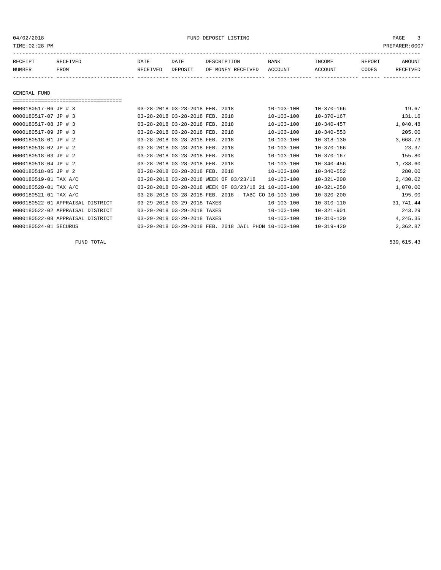| RECEIPT | <b>RECEIVED</b> | DATE            | DATE    | DESCRIPTION       | <b>BANK</b> | INCOME  | REPORT | AMOUNT   |
|---------|-----------------|-----------------|---------|-------------------|-------------|---------|--------|----------|
| NUMBER  | FROM            | <b>RECEIVED</b> | DEPOSIT | OF MONEY RECEIVED | ACCOUNT     | ACCOUNT | CODES  | RECEIVED |
|         |                 |                 |         |                   |             |         |        |          |

GENERAL FUND

===================================

| 0000180517-06 JP # 3             | 03-28-2018 03-28-2018 FEB. 2018                          | $10 - 103 - 100$ | $10 - 370 - 166$ | 19.67     |
|----------------------------------|----------------------------------------------------------|------------------|------------------|-----------|
| 0000180517-07 JP # 3             | 03-28-2018 03-28-2018 FEB. 2018                          | $10 - 103 - 100$ | $10 - 370 - 167$ | 131.16    |
| 0000180517-08 JP # 3             | 03-28-2018 03-28-2018 FEB. 2018                          | $10 - 103 - 100$ | $10 - 340 - 457$ | 1,040.48  |
| 0000180517-09 JP # 3             | 03-28-2018 03-28-2018 FEB. 2018                          | $10 - 103 - 100$ | $10 - 340 - 553$ | 205.00    |
| 0000180518-01 JP # 2             | 03-28-2018 03-28-2018 FEB. 2018                          | $10 - 103 - 100$ | $10 - 318 - 130$ | 3,668.73  |
| 0000180518-02 JP # 2             | 03-28-2018 03-28-2018 FEB. 2018                          | $10 - 103 - 100$ | $10 - 370 - 166$ | 23.37     |
| 0000180518-03 JP # 2             | 03-28-2018 03-28-2018 FEB. 2018                          | $10 - 103 - 100$ | $10 - 370 - 167$ | 155.80    |
| 0000180518-04 JP # 2             | 03-28-2018 03-28-2018 FEB. 2018                          | $10 - 103 - 100$ | $10 - 340 - 456$ | 1,738.60  |
| 0000180518-05 JP # 2             | 03-28-2018 03-28-2018 FEB. 2018                          | $10 - 103 - 100$ | $10 - 340 - 552$ | 280.00    |
| 0000180519-01 TAX A/C            | 03-28-2018 03-28-2018 WEEK OF 03/23/18                   | $10 - 103 - 100$ | $10 - 321 - 200$ | 2,430.02  |
| 0000180520-01 TAX A/C            | 03-28-2018 03-28-2018 WEEK OF 03/23/18 21 10-103-100     |                  | $10 - 321 - 250$ | 1,070.00  |
| 0000180521-01 TAX A/C            | $03-28-2018$ $03-28-2018$ FEB. 2018 - TABC CO 10-103-100 |                  | $10 - 320 - 200$ | 195.00    |
| 0000180522-01 APPRAISAL DISTRICT | 03-29-2018 03-29-2018 TAXES                              | $10 - 103 - 100$ | $10 - 310 - 110$ | 31,741.44 |
| 0000180522-02 APPRAISAL DISTRICT | 03-29-2018 03-29-2018 TAXES                              | $10 - 103 - 100$ | $10 - 321 - 901$ | 243.29    |
| 0000180522-08 APPRAISAL DISTRICT | 03-29-2018 03-29-2018 TAXES                              | $10 - 103 - 100$ | $10 - 310 - 120$ | 4,245.35  |
| 0000180524-01 SECURUS            | 03-29-2018 03-29-2018 FEB. 2018 JAIL PHON 10-103-100     |                  | $10 - 319 - 420$ | 2,362.87  |

FUND TOTAL  $539,615.43$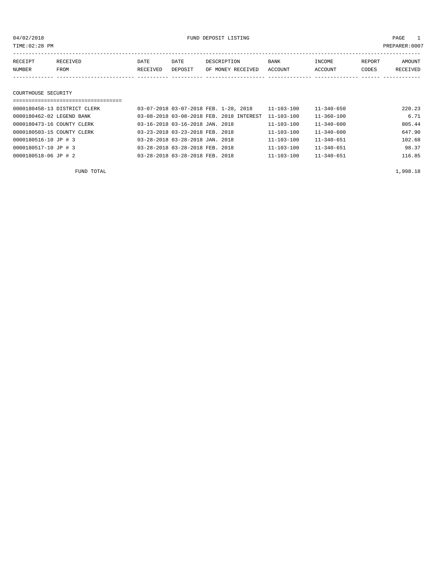PAGE 1<br>PREPARER:0007

| 04/02/2018 |                           |                              |          | FUND DEPOSIT LISTING |                                                                                                                                                                                                                                                                                                                                                                                      |            |                  |        | - 1<br>PAGE  |
|------------|---------------------------|------------------------------|----------|----------------------|--------------------------------------------------------------------------------------------------------------------------------------------------------------------------------------------------------------------------------------------------------------------------------------------------------------------------------------------------------------------------------------|------------|------------------|--------|--------------|
|            | TIME: 02:28 PM            |                              |          |                      |                                                                                                                                                                                                                                                                                                                                                                                      |            |                  |        | PREPARER:000 |
|            |                           |                              |          |                      |                                                                                                                                                                                                                                                                                                                                                                                      |            |                  |        |              |
|            | RECEIPT                   | RECEIVED                     | DATE     | DATE                 | DESCRIPTION                                                                                                                                                                                                                                                                                                                                                                          | BANK       | INCOME           | REPORT | AMOUNT       |
|            | NUMBER                    | FROM                         | RECEIVED | DEPOSIT              | OF MONEY RECEIVED                                                                                                                                                                                                                                                                                                                                                                    | ACCOUNT    | ACCOUNT          | CODES  | RECEIVED     |
|            |                           |                              |          |                      |                                                                                                                                                                                                                                                                                                                                                                                      |            |                  |        |              |
|            |                           |                              |          |                      |                                                                                                                                                                                                                                                                                                                                                                                      |            |                  |        |              |
|            | COURTHOUSE SECURITY       |                              |          |                      |                                                                                                                                                                                                                                                                                                                                                                                      |            |                  |        |              |
|            |                           |                              |          |                      |                                                                                                                                                                                                                                                                                                                                                                                      |            |                  |        |              |
|            |                           | 0000180458-13 DISTRICT CLERK |          |                      | 03-07-2018 03-07-2018 FEB. 1-28, 2018                                                                                                                                                                                                                                                                                                                                                | 11-103-100 | $11 - 340 - 650$ |        | 220.23       |
|            | 0000180462-02 LEGEND BANK |                              |          |                      | 03-08-2018 03-08-2018 FEB. 2018 INTEREST 11-103-100                                                                                                                                                                                                                                                                                                                                  |            | $11 - 360 - 100$ |        | 6.71         |
|            |                           |                              |          |                      | $\overline{a}$ $\overline{a}$ $\overline{a}$ $\overline{a}$ $\overline{a}$ $\overline{a}$ $\overline{a}$ $\overline{a}$ $\overline{a}$ $\overline{a}$ $\overline{a}$ $\overline{a}$ $\overline{a}$ $\overline{a}$ $\overline{a}$ $\overline{a}$ $\overline{a}$ $\overline{a}$ $\overline{a}$ $\overline{a}$ $\overline{a}$ $\overline{a}$ $\overline{a}$ $\overline{a}$ $\overline{$ | 11 100 100 | 11.210.60        |        | $000 - 11$   |

| 0000180473-16 COUNTY CLERK | 03-16-2018 03-16-2018 JAN. 2018 | $11 - 103 - 100$ | $11 - 340 - 600$ | 805.44 |
|----------------------------|---------------------------------|------------------|------------------|--------|
| 0000180503-15 COUNTY CLERK | 03-23-2018 03-23-2018 FEB. 2018 | 11-103-100       | $11 - 340 - 600$ | 647.90 |
| 0000180516-10 JP # 3       | 03-28-2018 03-28-2018 JAN. 2018 | $11 - 103 - 100$ | $11 - 340 - 651$ | 102.68 |
| 0000180517-10 JP # 3       | 03-28-2018 03-28-2018 FEB. 2018 | $11 - 103 - 100$ | $11 - 340 - 651$ | 98.37  |
| 0000180518-06 JP # 2       | 03-28-2018 03-28-2018 FEB. 2018 | $11 - 103 - 100$ | $11 - 340 - 651$ | 116.85 |

FUND TOTAL  $1,998.18$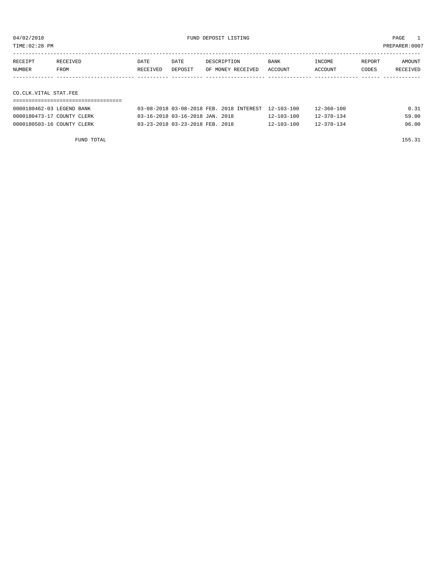TIME:02:28 PM PREPARER:0007

| RECEIPT               | RECEIVED | DATE     | DATE    | DESCRIPTION       | BANK    | INCOME  | REPORT | AMOUNT   |
|-----------------------|----------|----------|---------|-------------------|---------|---------|--------|----------|
| NUMBER                | FROM     | RECEIVED | DEPOSIT | OF MONEY RECEIVED | ACCOUNT | ACCOUNT | CODES  | RECEIVED |
|                       |          |          |         |                   |         |         |        |          |
|                       |          |          |         |                   |         |         |        |          |
| CO.CLK.VITAL STAT.FEE |          |          |         |                   |         |         |        |          |

### ===================================

| 0000180462-03 LEGEND BANK  | 03-08-2018 03-08-2018 FEB. 2018 INTEREST 12-103-100 |                  | $12 - 360 - 100$ | 0.31  |
|----------------------------|-----------------------------------------------------|------------------|------------------|-------|
| 0000180473-17 COUNTY CLERK | 03-16-2018 03-16-2018 JAN. 2018                     | $12 - 103 - 100$ | $12 - 370 - 134$ | 59.00 |
| 0000180503-16 COUNTY CLERK | 03-23-2018 03-23-2018 FEB. 2018                     | $12 - 103 - 100$ | $12 - 370 - 134$ | 96.00 |

FUND TOTAL 155.31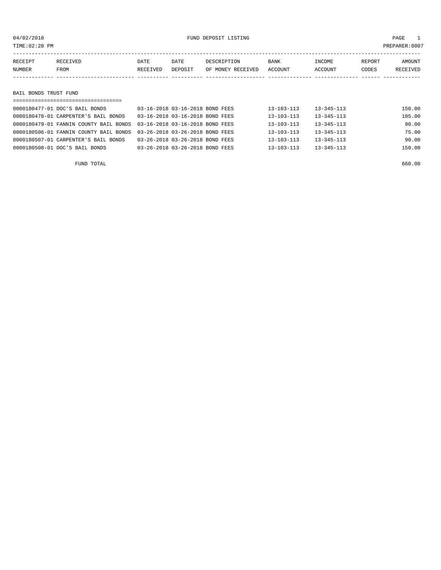04/02/2018 FUND DEPOSIT LISTING PAGE 1

| RECEIPT               | RECEIVED | DATE     | DATE    | DESCRIPTION       | BANK    | INCOME  | REPORT | AMOUNT   |  |
|-----------------------|----------|----------|---------|-------------------|---------|---------|--------|----------|--|
| NUMBER                | FROM     | RECEIVED | DEPOSIT | OF MONEY RECEIVED | ACCOUNT | ACCOUNT | CODES  | RECEIVED |  |
|                       |          |          |         |                   |         |         |        |          |  |
|                       |          |          |         |                   |         |         |        |          |  |
| BAIL BONDS TRUST FUND |          |          |         |                   |         |         |        |          |  |
|                       |          |          |         |                   |         |         |        |          |  |

| 0000180477-01 DOC'S BAIL BONDS         | 03-16-2018 03-16-2018 BOND FEES | $13 - 103 - 113$ | $13 - 345 - 113$ | 150.00 |
|----------------------------------------|---------------------------------|------------------|------------------|--------|
| 0000180478-01 CARPENTER'S BAIL BONDS   | 03-16-2018 03-16-2018 BOND FEES | $13 - 103 - 113$ | $13 - 345 - 113$ | 105.00 |
| 0000180479-01 FANNIN COUNTY BAIL BONDS | 03-16-2018 03-16-2018 BOND FEES | $13 - 103 - 113$ | $13 - 345 - 113$ | 90.00  |
| 0000180506-01 FANNIN COUNTY BAIL BONDS | 03-26-2018 03-26-2018 BOND FEES | $13 - 103 - 113$ | $13 - 345 - 113$ | 75.00  |
| 0000180507-01 CARPENTER'S BAIL BONDS   | 03-26-2018 03-26-2018 BOND FEES | $13 - 103 - 113$ | $13 - 345 - 113$ | 90.00  |
| 0000180508-01 DOC'S BAIL BONDS         | 03-26-2018 03-26-2018 BOND FEES | $13 - 103 - 113$ | $13 - 345 - 113$ | 150.00 |
|                                        |                                 |                  |                  |        |

FUND TOTAL 660.00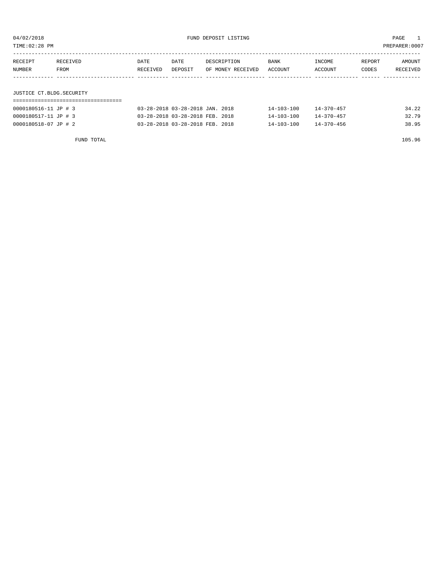TIME:02:28 PM PREPARER:0007

| RECEIPT | RECEIVED | <b>DATE</b> | DATE    | DESCRIPTION       | <b>BANK</b> | INCOME  | REPORT | AMOUNT   |
|---------|----------|-------------|---------|-------------------|-------------|---------|--------|----------|
| NUMBER  | FROM     | RECEIVED    | DEPOSIT | OF MONEY RECEIVED | ACCOUNT     | ACCOUNT | CODES  | RECEIVED |
|         |          |             |         |                   |             |         |        |          |
|         |          |             |         |                   |             |         |        |          |

### JUSTICE CT.BLDG.SECURITY

| 0000180516-11 JP # 3 | 03-28-2018 03-28-2018 JAN. 2018 | $14 - 103 - 100$ | $14 - 370 - 457$ | 34.22 |
|----------------------|---------------------------------|------------------|------------------|-------|
| 0000180517-11 JP # 3 | 03-28-2018 03-28-2018 FEB. 2018 | $14 - 103 - 100$ | $14 - 370 - 457$ | 32.79 |
| 0000180518-07 JP # 2 | 03-28-2018 03-28-2018 FEB. 2018 | 14-103-100       | $14 - 370 - 456$ | 38.95 |

FUND TOTAL 105.96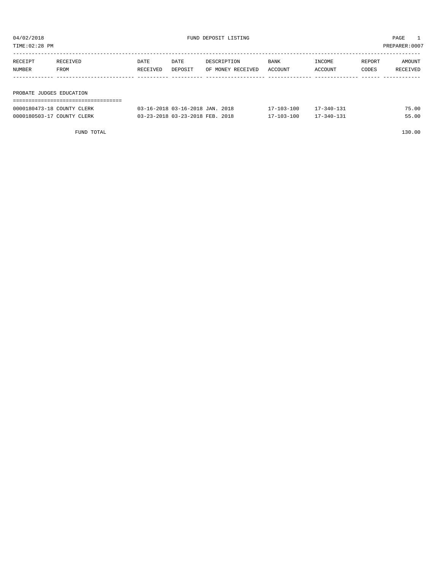| TIME: 02:28 PM<br>PREPARER: 0007 |          |          |                                 |                   |             |                  |        |          |  |
|----------------------------------|----------|----------|---------------------------------|-------------------|-------------|------------------|--------|----------|--|
| RECEIPT                          | RECEIVED | DATE     | DATE                            | DESCRIPTION       | <b>BANK</b> | INCOME           | REPORT | AMOUNT   |  |
| NUMBER                           | FROM     | RECEIVED | DEPOSIT                         | OF MONEY RECEIVED | ACCOUNT     | ACCOUNT          | CODES  | RECEIVED |  |
|                                  |          |          |                                 |                   |             |                  |        |          |  |
| PROBATE JUDGES EDUCATION         |          |          |                                 |                   |             |                  |        |          |  |
|                                  |          |          |                                 |                   |             |                  |        |          |  |
| 0000180473-18 COUNTY CLERK       |          |          | 03-16-2018 03-16-2018 JAN. 2018 |                   | 17-103-100  | $17 - 340 - 131$ |        | 75.00    |  |

0000180503-17 COUNTY CLERK 03-23-2018 03-23-2018 FEB. 2018 17-103-100 17-340-131 55.00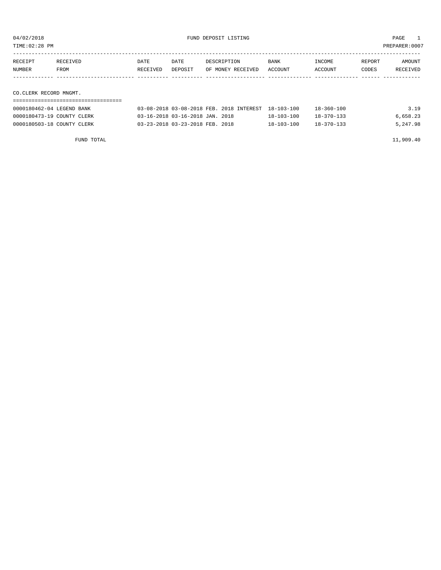| TIME:02:28 PM<br>PREPARER: 0007 |                  |                  |                 |                                  |                 |                   |                 |                    |  |  |
|---------------------------------|------------------|------------------|-----------------|----------------------------------|-----------------|-------------------|-----------------|--------------------|--|--|
| RECEIPT<br>NUMBER               | RECEIVED<br>FROM | DATE<br>RECEIVED | DATE<br>DEPOSIT | DESCRIPTION<br>OF MONEY RECEIVED | BANK<br>ACCOUNT | INCOME<br>ACCOUNT | REPORT<br>CODES | AMOUNT<br>RECEIVED |  |  |
|                                 |                  |                  |                 |                                  |                 |                   |                 |                    |  |  |
| CO.CLERK RECORD MNGMT.          |                  |                  |                 |                                  |                 |                   |                 |                    |  |  |

| 0000180462-04 LEGEND BANK  | 03-08-2018 03-08-2018 FEB. 2018 INTEREST 18-103-100 |                  | $18 - 360 - 100$ | 3.19     |
|----------------------------|-----------------------------------------------------|------------------|------------------|----------|
| 0000180473-19 COUNTY CLERK | 03-16-2018 03-16-2018 JAN. 2018                     | $18 - 103 - 100$ | $18 - 370 - 133$ | 6,658.23 |
| 0000180503-18 COUNTY CLERK | 03-23-2018 03-23-2018 FEB. 2018                     | $18 - 103 - 100$ | $18 - 370 - 133$ | 5,247.98 |

FUND TOTAL  $11,909.40$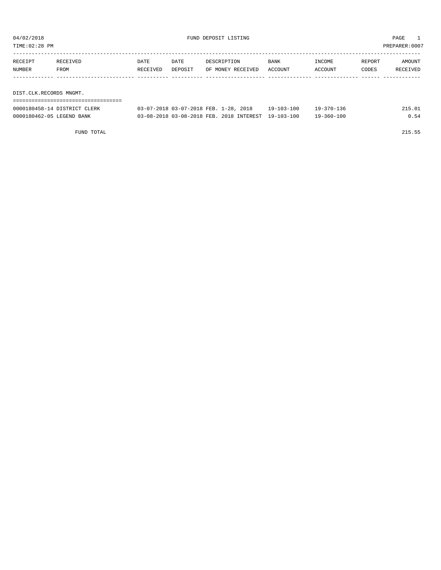| TIME: 02:28 PM          |                                   |          |                                       |                   |            |            |        | PREPARER: 0007 |
|-------------------------|-----------------------------------|----------|---------------------------------------|-------------------|------------|------------|--------|----------------|
| RECEIPT                 | RECEIVED                          | DATE     | DATE                                  | DESCRIPTION       | BANK       | INCOME     | REPORT | AMOUNT         |
| NUMBER                  | FROM                              | RECEIVED | DEPOSIT                               | OF MONEY RECEIVED | ACCOUNT    | ACCOUNT    | CODES  | RECEIVED       |
|                         |                                   |          |                                       |                   |            |            |        |                |
|                         |                                   |          |                                       |                   |            |            |        |                |
| DIST.CLK.RECORDS MNGMT. |                                   |          |                                       |                   |            |            |        |                |
|                         | --------------------------------- |          |                                       |                   |            |            |        |                |
|                         | 0000180458-14 DISTRICT CLERK      |          | 03-07-2018 03-07-2018 FEB. 1-28, 2018 |                   | 19-103-100 | 19-370-136 |        | 215.01         |

0000180462-05 LEGEND BANK 03-08-2018 03-08-2018 FEB. 2018 INTEREST 19-103-100 19-360-100 0.54

FUND TOTAL 215.55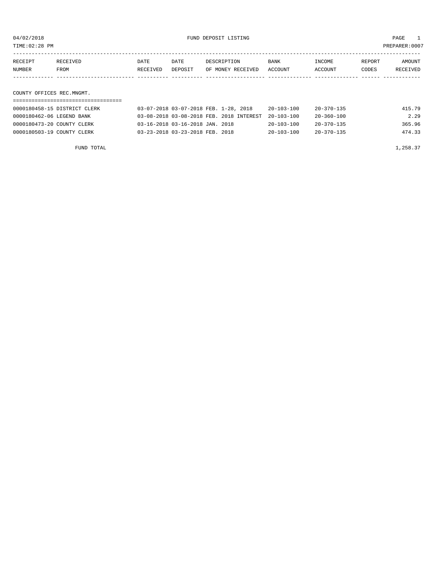TIME:02:28 PM PREPARER:0007

| RECEIPT | RECEIVED    | DATE     | DATE    | DESCRIPTION       | <b>BANK</b> | INCOME  | REPORT | AMOUNT   |
|---------|-------------|----------|---------|-------------------|-------------|---------|--------|----------|
| NUMBER  | <b>FROM</b> | RECEIVED | DEPOSIT | OF MONEY RECEIVED | ACCOUNT     | ACCOUNT | CODES  | RECEIVED |
|         |             |          |         |                   |             |         |        |          |
|         |             |          |         |                   |             |         |        |          |

COUNTY OFFICES REC.MNGMT.

| 0000180458-15 DISTRICT CLERK | 03-07-2018 03-07-2018 FEB. 1-28, 2018               | $20 - 103 - 100$ | 20-370-135       | 415.79 |
|------------------------------|-----------------------------------------------------|------------------|------------------|--------|
| 0000180462-06 LEGEND BANK    | 03-08-2018 03-08-2018 FEB. 2018 INTEREST 20-103-100 |                  | 20-360-100       | 2.29   |
| 0000180473-20 COUNTY CLERK   | 03-16-2018 03-16-2018 JAN. 2018                     | $20 - 103 - 100$ | 20-370-135       | 365.96 |
| 0000180503-19 COUNTY CLERK   | 03-23-2018 03-23-2018 FEB. 2018                     | $20 - 103 - 100$ | $20 - 370 - 135$ | 474.33 |

FUND TOTAL  $1,258.37$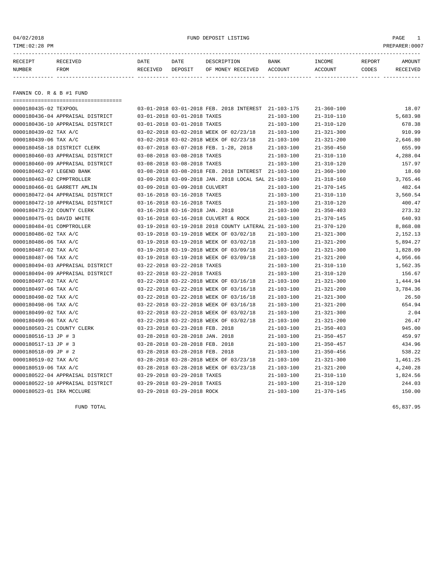#### 04/02/2018 FUND DEPOSIT LISTING PAGE 1

| RECEIPT | <b>RECEIVED</b> | DATE     | DATE    | DESCRIPTION          | <b>BANK</b>    | INCOME  | <b>REPORT</b> | AMOUNT          |
|---------|-----------------|----------|---------|----------------------|----------------|---------|---------------|-----------------|
| NUMBER  | FROM            | RECEIVED | DEPOSIT | RECEIVED<br>OF MONEY | <b>ACCOUNT</b> | ACCOUNT | CODES         | <b>RECEIVED</b> |
|         |                 |          |         |                      |                |         |               |                 |

FANNIN CO. R & B #1 FUND

| ==================================== |                                 |                            |                                                      |                  |                  |          |
|--------------------------------------|---------------------------------|----------------------------|------------------------------------------------------|------------------|------------------|----------|
| 0000180435-02 TEXPOOL                |                                 |                            | 03-01-2018 03-01-2018 FEB. 2018 INTEREST 21-103-175  |                  | $21 - 360 - 100$ | 18.07    |
| 0000180436-04 APPRAISAL DISTRICT     | 03-01-2018 03-01-2018 TAXES     |                            |                                                      | $21 - 103 - 100$ | $21 - 310 - 110$ | 5,683.98 |
| 0000180436-10 APPRAISAL DISTRICT     | 03-01-2018 03-01-2018 TAXES     |                            |                                                      | $21 - 103 - 100$ | $21 - 310 - 120$ | 678.38   |
| 0000180439-02 TAX A/C                |                                 |                            | 03-02-2018 03-02-2018 WEEK OF 02/23/18               | $21 - 103 - 100$ | $21 - 321 - 300$ | 910.99   |
| 0000180439-06 TAX A/C                |                                 |                            | 03-02-2018 03-02-2018 WEEK OF 02/23/18               | $21 - 103 - 100$ | $21 - 321 - 200$ | 2,646.80 |
| 0000180458-18 DISTRICT CLERK         |                                 |                            | 03-07-2018 03-07-2018 FEB. 1-28, 2018                | $21 - 103 - 100$ | $21 - 350 - 450$ | 655.99   |
| 0000180460-03 APPRAISAL DISTRICT     | 03-08-2018 03-08-2018 TAXES     |                            |                                                      | $21 - 103 - 100$ | $21 - 310 - 110$ | 4,288.04 |
| 0000180460-09 APPRAISAL DISTRICT     | 03-08-2018 03-08-2018 TAXES     |                            |                                                      | $21 - 103 - 100$ | $21 - 310 - 120$ | 157.97   |
| 0000180462-07 LEGEND BANK            |                                 |                            | 03-08-2018 03-08-2018 FEB. 2018 INTEREST 21-103-100  |                  | $21 - 360 - 100$ | 18.60    |
| 0000180463-02 CPMPTROLLER            |                                 |                            | 03-09-2018 03-09-2018 JAN. 2018 LOCAL SAL 21-103-100 |                  | $21 - 318 - 160$ | 3,765.46 |
| 0000180466-01 GARRETT AMLIN          | 03-09-2018 03-09-2018 CULVERT   |                            |                                                      | $21 - 103 - 100$ | $21 - 370 - 145$ | 482.64   |
| 0000180472-04 APPRAISAL DISTRICT     | 03-16-2018 03-16-2018 TAXES     |                            |                                                      | $21 - 103 - 100$ | $21 - 310 - 110$ | 3,560.54 |
| 0000180472-10 APPRAISAL DISTRICT     | 03-16-2018 03-16-2018 TAXES     |                            |                                                      | $21 - 103 - 100$ | $21 - 310 - 120$ | 400.47   |
| 0000180473-22 COUNTY CLERK           | 03-16-2018 03-16-2018 JAN. 2018 |                            |                                                      | $21 - 103 - 100$ | $21 - 350 - 403$ | 273.32   |
| 0000180475-01 DAVID WHITE            |                                 |                            | 03-16-2018 03-16-2018 CULVERT & ROCK                 | $21 - 103 - 100$ | $21 - 370 - 145$ | 640.93   |
| 0000180484-01 COMPTROLLER            |                                 |                            | 03-19-2018 03-19-2018 2018 COUNTY LATERAL 21-103-100 |                  | $21 - 370 - 120$ | 8,868.08 |
| 0000180486-02 TAX A/C                |                                 |                            | 03-19-2018 03-19-2018 WEEK OF 03/02/18               | $21 - 103 - 100$ | $21 - 321 - 300$ | 2,152.13 |
| 0000180486-06 TAX A/C                |                                 |                            | 03-19-2018 03-19-2018 WEEK OF 03/02/18               | $21 - 103 - 100$ | $21 - 321 - 200$ | 5,894.27 |
| 0000180487-02 TAX A/C                |                                 |                            | 03-19-2018 03-19-2018 WEEK OF 03/09/18               | $21 - 103 - 100$ | $21 - 321 - 300$ | 1,828.09 |
| 0000180487-06 TAX A/C                |                                 |                            | 03-19-2018 03-19-2018 WEEK OF 03/09/18               | $21 - 103 - 100$ | $21 - 321 - 200$ | 4,956.66 |
| 0000180494-03 APPRAISAL DISTRICT     | 03-22-2018 03-22-2018 TAXES     |                            |                                                      | $21 - 103 - 100$ | $21 - 310 - 110$ | 1,562.35 |
| 0000180494-09 APPRAISAL DISTRICT     | 03-22-2018 03-22-2018 TAXES     |                            |                                                      | $21 - 103 - 100$ | $21 - 310 - 120$ | 156.67   |
| 0000180497-02 TAX A/C                |                                 |                            | 03-22-2018 03-22-2018 WEEK OF 03/16/18               | $21 - 103 - 100$ | $21 - 321 - 300$ | 1,444.94 |
| 0000180497-06 TAX A/C                |                                 |                            | 03-22-2018 03-22-2018 WEEK OF 03/16/18               | $21 - 103 - 100$ | $21 - 321 - 200$ | 3,784.36 |
| 0000180498-02 TAX A/C                |                                 |                            | 03-22-2018 03-22-2018 WEEK OF 03/16/18               | $21 - 103 - 100$ | $21 - 321 - 300$ | 26.50    |
| 0000180498-06 TAX A/C                |                                 |                            | 03-22-2018 03-22-2018 WEEK OF 03/16/18               | $21 - 103 - 100$ | $21 - 321 - 200$ | 654.94   |
| 0000180499-02 TAX A/C                |                                 |                            | 03-22-2018 03-22-2018 WEEK OF 03/02/18               | $21 - 103 - 100$ | $21 - 321 - 300$ | 2.04     |
| 0000180499-06 TAX A/C                |                                 |                            | 03-22-2018 03-22-2018 WEEK OF 03/02/18               | $21 - 103 - 100$ | $21 - 321 - 200$ | 26.47    |
| 0000180503-21 COUNTY CLERK           | 03-23-2018 03-23-2018 FEB. 2018 |                            |                                                      | $21 - 103 - 100$ | $21 - 350 - 403$ | 945.00   |
| 0000180516-13 JP # 3                 | 03-28-2018 03-28-2018 JAN. 2018 |                            |                                                      | $21 - 103 - 100$ | $21 - 350 - 457$ | 459.97   |
| 0000180517-13 JP # 3                 | 03-28-2018 03-28-2018 FEB. 2018 |                            |                                                      | $21 - 103 - 100$ | $21 - 350 - 457$ | 434.96   |
| 0000180518-09 JP # 2                 | 03-28-2018 03-28-2018 FEB. 2018 |                            |                                                      | $21 - 103 - 100$ | $21 - 350 - 456$ | 538.22   |
| 0000180519-02 TAX A/C                |                                 |                            | 03-28-2018 03-28-2018 WEEK OF 03/23/18               | $21 - 103 - 100$ | $21 - 321 - 300$ | 1,461.25 |
| 0000180519-06 TAX A/C                |                                 |                            | 03-28-2018 03-28-2018 WEEK OF 03/23/18               | $21 - 103 - 100$ | $21 - 321 - 200$ | 4,240.28 |
| 0000180522-04 APPRAISAL DISTRICT     | 03-29-2018 03-29-2018 TAXES     |                            |                                                      | $21 - 103 - 100$ | $21 - 310 - 110$ | 1,824.56 |
| 0000180522-10 APPRAISAL DISTRICT     | 03-29-2018 03-29-2018 TAXES     |                            |                                                      | $21 - 103 - 100$ | $21 - 310 - 120$ | 244.03   |
| 0000180523-01 IRA MCCLURE            |                                 | 03-29-2018 03-29-2018 ROCK |                                                      | $21 - 103 - 100$ | $21 - 370 - 145$ | 150.00   |

FUND TOTAL 65,837.95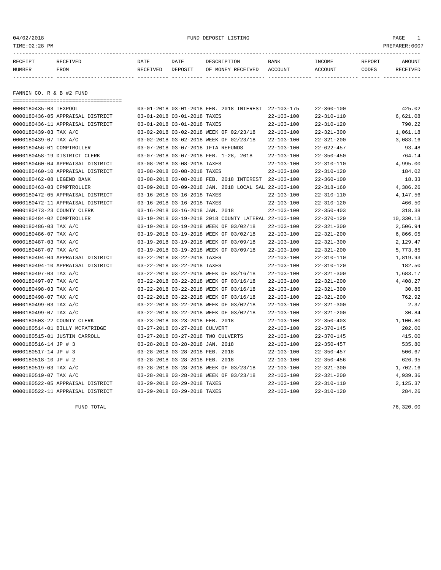#### 04/02/2018 FUND DEPOSIT LISTING PAGE 1

| RECEIPT | <b>RECEIVED</b> | DATE     | DATE    | DESCRIPTION          | <b>BANK</b>    | INCOME  | <b>REPORT</b> | AMOUNT          |
|---------|-----------------|----------|---------|----------------------|----------------|---------|---------------|-----------------|
| NUMBER  | FROM            | RECEIVED | DEPOSIT | RECEIVED<br>OF MONEY | <b>ACCOUNT</b> | ACCOUNT | CODES         | <b>RECEIVED</b> |
|         |                 |          |         |                      |                |         |               |                 |

FANNIN CO. R & B #2 FUND

| ==================================== |                                 |                                                      |                  |                  |           |
|--------------------------------------|---------------------------------|------------------------------------------------------|------------------|------------------|-----------|
| 0000180435-03 TEXPOOL                |                                 | 03-01-2018 03-01-2018 FEB. 2018 INTEREST 22-103-175  |                  | $22 - 360 - 100$ | 425.02    |
| 0000180436-05 APPRAISAL DISTRICT     | 03-01-2018 03-01-2018 TAXES     |                                                      | $22 - 103 - 100$ | $22 - 310 - 110$ | 6,621.08  |
| 0000180436-11 APPRAISAL DISTRICT     | 03-01-2018 03-01-2018 TAXES     |                                                      | $22 - 103 - 100$ | $22 - 310 - 120$ | 790.22    |
| 0000180439-03 TAX A/C                |                                 | 03-02-2018 03-02-2018 WEEK OF 02/23/18               | $22 - 103 - 100$ | $22 - 321 - 300$ | 1,061.18  |
| 0000180439-07 TAX A/C                |                                 | 03-02-2018 03-02-2018 WEEK OF 02/23/18               | $22 - 103 - 100$ | $22 - 321 - 200$ | 3,083.16  |
| 0000180456-01 COMPTROLLER            |                                 | 03-07-2018 03-07-2018 IFTA REFUNDS                   | $22 - 103 - 100$ | $22 - 622 - 457$ | 93.48     |
| 0000180458-19 DISTRICT CLERK         |                                 | 03-07-2018 03-07-2018 FEB. 1-28, 2018                | $22 - 103 - 100$ | $22 - 350 - 450$ | 764.14    |
| 0000180460-04 APPRAISAL DISTRICT     | 03-08-2018 03-08-2018 TAXES     |                                                      | $22 - 103 - 100$ | $22 - 310 - 110$ | 4,995.00  |
| 0000180460-10 APPRAISAL DISTRICT     | 03-08-2018 03-08-2018 TAXES     |                                                      | $22 - 103 - 100$ | $22 - 310 - 120$ | 184.02    |
| 0000180462-08 LEGEND BANK            |                                 | 03-08-2018 03-08-2018 FEB. 2018 INTEREST             | 22-103-100       | $22 - 360 - 100$ | 18.33     |
| 0000180463-03 CPMPTROLLER            |                                 | 03-09-2018 03-09-2018 JAN. 2018 LOCAL SAL 22-103-100 |                  | $22 - 318 - 160$ | 4,386.26  |
| 0000180472-05 APPRAISAL DISTRICT     | 03-16-2018 03-16-2018 TAXES     |                                                      | $22 - 103 - 100$ | $22 - 310 - 110$ | 4,147.56  |
| 0000180472-11 APPRAISAL DISTRICT     | 03-16-2018 03-16-2018 TAXES     |                                                      | $22 - 103 - 100$ | $22 - 310 - 120$ | 466.50    |
| 0000180473-23 COUNTY CLERK           | 03-16-2018 03-16-2018 JAN. 2018 |                                                      | $22 - 103 - 100$ | $22 - 350 - 403$ | 318.38    |
| 0000180484-02 COMPTROLLER            |                                 | 03-19-2018 03-19-2018 2018 COUNTY LATERAL 22-103-100 |                  | $22 - 370 - 120$ | 10,330.13 |
| 0000180486-03 TAX A/C                |                                 | 03-19-2018 03-19-2018 WEEK OF 03/02/18               | $22 - 103 - 100$ | $22 - 321 - 300$ | 2,506.94  |
| 0000180486-07 TAX A/C                |                                 | 03-19-2018 03-19-2018 WEEK OF 03/02/18               | $22 - 103 - 100$ | $22 - 321 - 200$ | 6,866.05  |
| 0000180487-03 TAX A/C                |                                 | 03-19-2018 03-19-2018 WEEK OF 03/09/18               | $22 - 103 - 100$ | $22 - 321 - 300$ | 2,129.47  |
| 0000180487-07 TAX A/C                |                                 | 03-19-2018 03-19-2018 WEEK OF 03/09/18               | $22 - 103 - 100$ | $22 - 321 - 200$ | 5,773.85  |
| 0000180494-04 APPRAISAL DISTRICT     | 03-22-2018 03-22-2018 TAXES     |                                                      | $22 - 103 - 100$ | $22 - 310 - 110$ | 1,819.93  |
| 0000180494-10 APPRAISAL DISTRICT     | 03-22-2018 03-22-2018 TAXES     |                                                      | $22 - 103 - 100$ | $22 - 310 - 120$ | 182.50    |
| 0000180497-03 TAX A/C                |                                 | 03-22-2018 03-22-2018 WEEK OF 03/16/18               | $22 - 103 - 100$ | $22 - 321 - 300$ | 1,683.17  |
| 0000180497-07 TAX A/C                |                                 | 03-22-2018 03-22-2018 WEEK OF 03/16/18               | $22 - 103 - 100$ | $22 - 321 - 200$ | 4,408.27  |
| 0000180498-03 TAX A/C                |                                 | 03-22-2018 03-22-2018 WEEK OF 03/16/18               | $22 - 103 - 100$ | $22 - 321 - 300$ | 30.86     |
| 0000180498-07 TAX A/C                |                                 | 03-22-2018 03-22-2018 WEEK OF 03/16/18               | $22 - 103 - 100$ | $22 - 321 - 200$ | 762.92    |
| 0000180499-03 TAX A/C                |                                 | 03-22-2018 03-22-2018 WEEK OF 03/02/18               | $22 - 103 - 100$ | $22 - 321 - 300$ | 2.37      |
| 0000180499-07 TAX A/C                |                                 | 03-22-2018 03-22-2018 WEEK OF 03/02/18               | $22 - 103 - 100$ | $22 - 321 - 200$ | 30.84     |
| 0000180503-22 COUNTY CLERK           | 03-23-2018 03-23-2018 FEB. 2018 |                                                      | $22 - 103 - 100$ | $22 - 350 - 403$ | 1,100.80  |
| 0000180514-01 BILLY MCFATRIDGE       | 03-27-2018 03-27-2018 CULVERT   |                                                      | $22 - 103 - 100$ | $22 - 370 - 145$ | 202.00    |
| 0000180515-01 JUSTIN CARROLL         |                                 | 03-27-2018 03-27-2018 TWO CULVERTS                   | $22 - 103 - 100$ | $22 - 370 - 145$ | 415.00    |
| 0000180516-14 JP # 3                 | 03-28-2018 03-28-2018 JAN. 2018 |                                                      | $22 - 103 - 100$ | $22 - 350 - 457$ | 535.80    |
| 0000180517-14 JP # 3                 | 03-28-2018 03-28-2018 FEB. 2018 |                                                      | $22 - 103 - 100$ | $22 - 350 - 457$ | 506.67    |
| 0000180518-10 JP # 2                 | 03-28-2018 03-28-2018 FEB. 2018 |                                                      | $22 - 103 - 100$ | $22 - 350 - 456$ | 626.95    |
| 0000180519-03 TAX A/C                |                                 | 03-28-2018 03-28-2018 WEEK OF 03/23/18               | $22 - 103 - 100$ | $22 - 321 - 300$ | 1,702.16  |
| 0000180519-07 TAX A/C                |                                 | 03-28-2018 03-28-2018 WEEK OF 03/23/18               | $22 - 103 - 100$ | $22 - 321 - 200$ | 4,939.36  |
| 0000180522-05 APPRAISAL DISTRICT     | 03-29-2018 03-29-2018 TAXES     |                                                      | $22 - 103 - 100$ | $22 - 310 - 110$ | 2,125.37  |
| 0000180522-11 APPRAISAL DISTRICT     | 03-29-2018 03-29-2018 TAXES     |                                                      | $22 - 103 - 100$ | $22 - 310 - 120$ | 284.26    |

FUND TOTAL 76,320.00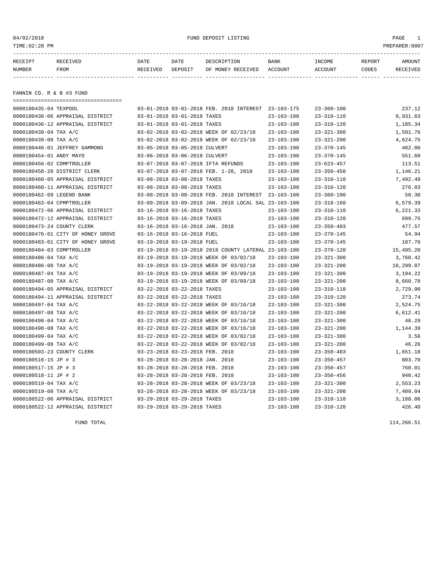#### 04/02/2018 FUND DEPOSIT LISTING PAGE 1

| RECEIPT | <b>RECEIVED</b> | DATE     | DATE    | DESCRIPTION          | <b>BANK</b>    | INCOME  | <b>REPORT</b> | AMOUNT          |
|---------|-----------------|----------|---------|----------------------|----------------|---------|---------------|-----------------|
| NUMBER  | FROM            | RECEIVED | DEPOSIT | RECEIVED<br>OF MONEY | <b>ACCOUNT</b> | ACCOUNT | CODES         | <b>RECEIVED</b> |
|         |                 |          |         |                      |                |         |               |                 |

FANNIN CO. R & B #3 FUND

| ==================================== |                                 |                                                      |                  |                  |           |
|--------------------------------------|---------------------------------|------------------------------------------------------|------------------|------------------|-----------|
| 0000180435-04 TEXPOOL                |                                 | 03-01-2018 03-01-2018 FEB. 2018 INTEREST 23-103-175  |                  | $23 - 360 - 100$ | 237.12    |
| 0000180436-06 APPRAISAL DISTRICT     | 03-01-2018 03-01-2018 TAXES     |                                                      | $23 - 103 - 100$ | $23 - 310 - 110$ | 9,931.63  |
| 0000180436-12 APPRAISAL DISTRICT     | 03-01-2018 03-01-2018 TAXES     |                                                      | $23 - 103 - 100$ | $23 - 310 - 120$ | 1,185.34  |
| 0000180439-04 TAX A/C                |                                 | 03-02-2018 03-02-2018 WEEK OF 02/23/18               | $23 - 103 - 100$ | $23 - 321 - 300$ | 1,591.76  |
| 0000180439-08 TAX A/C                |                                 | 03-02-2018 03-02-2018 WEEK OF 02/23/18               | $23 - 103 - 100$ | $23 - 321 - 200$ | 4,624.75  |
| 0000180446-01 JEFFREY GAMMONS        | 03-05-2018 03-05-2018 CULVERT   |                                                      | $23 - 103 - 100$ | $23 - 370 - 145$ | 402.00    |
| 0000180454-01 ANDY MAYO              | 03-06-2018 03-06-2018 CULVERT   |                                                      | $23 - 103 - 100$ | $23 - 370 - 145$ | 551.60    |
| 0000180456-02 COMPTROLLER            |                                 | 03-07-2018 03-07-2018 IFTA REFUNDS                   | $23 - 103 - 100$ | $23 - 623 - 457$ | 113.51    |
| 0000180458-20 DISTRICT CLERK         |                                 | 03-07-2018 03-07-2018 FEB. 1-28, 2018                | $23 - 103 - 100$ | $23 - 350 - 450$ | 1,146.21  |
| 0000180460-05 APPRAISAL DISTRICT     | 03-08-2018 03-08-2018 TAXES     |                                                      | $23 - 103 - 100$ | $23 - 310 - 110$ | 7,492.49  |
| 0000180460-11 APPRAISAL DISTRICT     | 03-08-2018 03-08-2018 TAXES     |                                                      | $23 - 103 - 100$ | $23 - 310 - 120$ | 276.03    |
| 0000180462-09 LEGEND BANK            |                                 | 03-08-2018 03-08-2018 FEB. 2018 INTEREST 23-103-100  |                  | $23 - 360 - 100$ | 50.30     |
| 0000180463-04 CPMPTROLLER            |                                 | 03-09-2018 03-09-2018 JAN. 2018 LOCAL SAL 23-103-100 |                  | $23 - 318 - 160$ | 6,579.39  |
| 0000180472-06 APPRAISAL DISTRICT     | 03-16-2018 03-16-2018 TAXES     |                                                      | $23 - 103 - 100$ | $23 - 310 - 110$ | 6,221.33  |
| 0000180472-12 APPRAISAL DISTRICT     | 03-16-2018 03-16-2018 TAXES     |                                                      | $23 - 103 - 100$ | $23 - 310 - 120$ | 699.75    |
| 0000180473-24 COUNTY CLERK           | 03-16-2018 03-16-2018 JAN. 2018 |                                                      | $23 - 103 - 100$ | $23 - 350 - 403$ | 477.57    |
| 0000180476-01 CITY OF HONEY GROVE    | 03-16-2018 03-16-2018 FUEL      |                                                      | $23 - 103 - 100$ | $23 - 370 - 145$ | 54.94     |
| 0000180483-01 CITY OF HONEY GROVE    | 03-19-2018 03-19-2018 FUEL      |                                                      | $23 - 103 - 100$ | $23 - 370 - 145$ | 107.76    |
| 0000180484-03 COMPTROLLER            |                                 | 03-19-2018 03-19-2018 2018 COUNTY LATERAL 23-103-100 |                  | $23 - 370 - 120$ | 15,495.20 |
| 0000180486-04 TAX A/C                |                                 | 03-19-2018 03-19-2018 WEEK OF 03/02/18               | $23 - 103 - 100$ | $23 - 321 - 300$ | 3,760.42  |
| 0000180486-08 TAX A/C                |                                 | 03-19-2018 03-19-2018 WEEK OF 03/02/18               | $23 - 103 - 100$ | $23 - 321 - 200$ | 10,299.07 |
| 0000180487-04 TAX A/C                |                                 | 03-19-2018 03-19-2018 WEEK OF 03/09/18               | $23 - 103 - 100$ | $23 - 321 - 300$ | 3,194.22  |
| 0000180487-08 TAX A/C                |                                 | 03-19-2018 03-19-2018 WEEK OF 03/09/18               | $23 - 103 - 100$ | $23 - 321 - 200$ | 8,660.78  |
| 0000180494-05 APPRAISAL DISTRICT     | 03-22-2018 03-22-2018 TAXES     |                                                      | $23 - 103 - 100$ | $23 - 310 - 110$ | 2,729.90  |
| 0000180494-11 APPRAISAL DISTRICT     | 03-22-2018 03-22-2018 TAXES     |                                                      | $23 - 103 - 100$ | $23 - 310 - 120$ | 273.74    |
| 0000180497-04 TAX A/C                |                                 | 03-22-2018 03-22-2018 WEEK OF 03/16/18               | $23 - 103 - 100$ | $23 - 321 - 300$ | 2,524.75  |
| 0000180497-08 TAX A/C                |                                 | 03-22-2018 03-22-2018 WEEK OF 03/16/18               | $23 - 103 - 100$ | $23 - 321 - 200$ | 6,612.41  |
| 0000180498-04 TAX A/C                |                                 | 03-22-2018 03-22-2018 WEEK OF 03/16/18               | $23 - 103 - 100$ | $23 - 321 - 300$ | 46.29     |
| 0000180498-08 TAX A/C                |                                 | 03-22-2018 03-22-2018 WEEK OF 03/16/18               | $23 - 103 - 100$ | $23 - 321 - 200$ | 1,144.39  |
| 0000180499-04 TAX A/C                |                                 | 03-22-2018 03-22-2018 WEEK OF 03/02/18               | $23 - 103 - 100$ | $23 - 321 - 300$ | 3.56      |
| 0000180499-08 TAX A/C                |                                 | 03-22-2018 03-22-2018 WEEK OF 03/02/18               | $23 - 103 - 100$ | $23 - 321 - 200$ | 46.26     |
| 0000180503-23 COUNTY CLERK           | 03-23-2018 03-23-2018 FEB. 2018 |                                                      | $23 - 103 - 100$ | $23 - 350 - 403$ | 1,651.18  |
| 0000180516-15 JP # 3                 | 03-28-2018 03-28-2018 JAN. 2018 |                                                      | $23 - 103 - 100$ | $23 - 350 - 457$ | 803.70    |
| 0000180517-15 JP # 3                 | 03-28-2018 03-28-2018 FEB. 2018 |                                                      | $23 - 103 - 100$ | $23 - 350 - 457$ | 760.01    |
| 0000180518-11 JP # 2                 | 03-28-2018 03-28-2018 FEB. 2018 |                                                      | $23 - 103 - 100$ | $23 - 350 - 456$ | 940.42    |
| 0000180519-04 TAX A/C                |                                 | 03-28-2018 03-28-2018 WEEK OF 03/23/18               | $23 - 103 - 100$ | $23 - 321 - 300$ | 2,553.23  |
| 0000180519-08 TAX A/C                |                                 | 03-28-2018 03-28-2018 WEEK OF 03/23/18               | $23 - 103 - 100$ | $23 - 321 - 200$ | 7,409.04  |
| 0000180522-06 APPRAISAL DISTRICT     | 03-29-2018 03-29-2018 TAXES     |                                                      | $23 - 103 - 100$ | $23 - 310 - 110$ | 3,188.06  |
| 0000180522-12 APPRAISAL DISTRICT     | 03-29-2018 03-29-2018 TAXES     |                                                      | $23 - 103 - 100$ | $23 - 310 - 120$ | 426.40    |

FUND TOTAL  $114,266.51$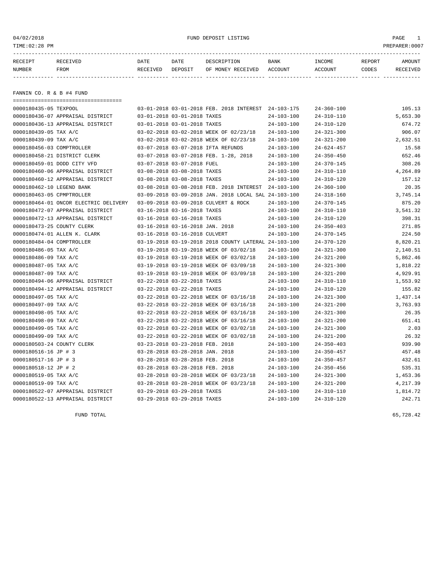#### 04/02/2018 FUND DEPOSIT LISTING PAGE 1

| RECEIPT | <b>RECEIVED</b> | DATE            | DATE    | DESCRIPTION       | <b>BANK</b> | INCOME  | REPORT | AMOUNT          |
|---------|-----------------|-----------------|---------|-------------------|-------------|---------|--------|-----------------|
| NUMBER  | FROM            | <b>RECEIVED</b> | DEPOSIT | OF MONEY RECEIVED | ACCOUNT     | ACCOUNT | CODES  | <b>RECEIVED</b> |
|         |                 |                 |         |                   |             |         |        |                 |

FANNIN CO. R & B #4 FUND

| ===================================== |                                 |                                 |                                                      |                  |                  |          |
|---------------------------------------|---------------------------------|---------------------------------|------------------------------------------------------|------------------|------------------|----------|
| 0000180435-05 TEXPOOL                 |                                 |                                 | 03-01-2018 03-01-2018 FEB. 2018 INTEREST 24-103-175  |                  | $24 - 360 - 100$ | 105.13   |
| 0000180436-07 APPRAISAL DISTRICT      | 03-01-2018 03-01-2018 TAXES     |                                 |                                                      | $24 - 103 - 100$ | $24 - 310 - 110$ | 5,653.30 |
| 0000180436-13 APPRAISAL DISTRICT      | 03-01-2018 03-01-2018 TAXES     |                                 |                                                      | $24 - 103 - 100$ | $24 - 310 - 120$ | 674.72   |
| 0000180439-05 TAX A/C                 |                                 |                                 | 03-02-2018 03-02-2018 WEEK OF 02/23/18               | $24 - 103 - 100$ | $24 - 321 - 300$ | 906.07   |
| 0000180439-09 TAX A/C                 |                                 |                                 | 03-02-2018 03-02-2018 WEEK OF 02/23/18               | $24 - 103 - 100$ | $24 - 321 - 200$ | 2,632.51 |
| 0000180456-03 COMPTROLLER             |                                 |                                 | 03-07-2018 03-07-2018 IFTA REFUNDS                   | $24 - 103 - 100$ | $24 - 624 - 457$ | 15.58    |
| 0000180458-21 DISTRICT CLERK          |                                 |                                 | 03-07-2018 03-07-2018 FEB. 1-28, 2018                | $24 - 103 - 100$ | $24 - 350 - 450$ | 652.46   |
| 0000180459-01 DODD CITY VFD           |                                 | 03-07-2018 03-07-2018 FUEL      |                                                      | $24 - 103 - 100$ | $24 - 370 - 145$ | 308.26   |
| 0000180460-06 APPRAISAL DISTRICT      | 03-08-2018 03-08-2018 TAXES     |                                 |                                                      | $24 - 103 - 100$ | $24 - 310 - 110$ | 4,264.89 |
| 0000180460-12 APPRAISAL DISTRICT      | 03-08-2018 03-08-2018 TAXES     |                                 |                                                      | $24 - 103 - 100$ | $24 - 310 - 120$ | 157.12   |
| 0000180462-10 LEGEND BANK             |                                 |                                 | 03-08-2018 03-08-2018 FEB. 2018 INTEREST             | 24-103-100       | $24 - 360 - 100$ | 20.35    |
| 0000180463-05 CPMPTROLLER             |                                 |                                 | 03-09-2018 03-09-2018 JAN. 2018 LOCAL SAL 24-103-100 |                  | $24 - 318 - 160$ | 3,745.14 |
| 0000180464-01 ONCOR ELECTRIC DELIVERY |                                 |                                 | 03-09-2018 03-09-2018 CULVERT & ROCK                 | $24 - 103 - 100$ | $24 - 370 - 145$ | 875.20   |
| 0000180472-07 APPRAISAL DISTRICT      |                                 | 03-16-2018 03-16-2018 TAXES     |                                                      | $24 - 103 - 100$ | $24 - 310 - 110$ | 3,541.32 |
| 0000180472-13 APPRAISAL DISTRICT      | 03-16-2018 03-16-2018 TAXES     |                                 |                                                      | $24 - 103 - 100$ | $24 - 310 - 120$ | 398.31   |
| 0000180473-25 COUNTY CLERK            |                                 | 03-16-2018 03-16-2018 JAN. 2018 |                                                      | $24 - 103 - 100$ | $24 - 350 - 403$ | 271.85   |
| 0000180474-01 ALLEN K. CLARK          |                                 | 03-16-2018 03-16-2018 CULVERT   |                                                      | $24 - 103 - 100$ | $24 - 370 - 145$ | 224.50   |
| 0000180484-04 COMPTROLLER             |                                 |                                 | 03-19-2018 03-19-2018 2018 COUNTY LATERAL 24-103-100 |                  | $24 - 370 - 120$ | 8,820.21 |
| 0000180486-05 TAX A/C                 |                                 |                                 | 03-19-2018 03-19-2018 WEEK OF 03/02/18               | $24 - 103 - 100$ | $24 - 321 - 300$ | 2,140.51 |
| 0000180486-09 TAX A/C                 |                                 |                                 | 03-19-2018 03-19-2018 WEEK OF 03/02/18               | $24 - 103 - 100$ | $24 - 321 - 200$ | 5,862.46 |
| 0000180487-05 TAX A/C                 |                                 |                                 | 03-19-2018 03-19-2018 WEEK OF 03/09/18               | $24 - 103 - 100$ | $24 - 321 - 300$ | 1,818.22 |
| 0000180487-09 TAX A/C                 |                                 |                                 | 03-19-2018 03-19-2018 WEEK OF 03/09/18               | $24 - 103 - 100$ | $24 - 321 - 200$ | 4,929.91 |
| 0000180494-06 APPRAISAL DISTRICT      |                                 | 03-22-2018 03-22-2018 TAXES     |                                                      | $24 - 103 - 100$ | $24 - 310 - 110$ | 1,553.92 |
| 0000180494-12 APPRAISAL DISTRICT      | 03-22-2018 03-22-2018 TAXES     |                                 |                                                      | $24 - 103 - 100$ | $24 - 310 - 120$ | 155.82   |
| 0000180497-05 TAX A/C                 |                                 |                                 | 03-22-2018 03-22-2018 WEEK OF 03/16/18               | $24 - 103 - 100$ | $24 - 321 - 300$ | 1,437.14 |
| 0000180497-09 TAX A/C                 |                                 |                                 | 03-22-2018 03-22-2018 WEEK OF 03/16/18               | $24 - 103 - 100$ | $24 - 321 - 200$ | 3,763.93 |
| 0000180498-05 TAX A/C                 |                                 |                                 | 03-22-2018 03-22-2018 WEEK OF 03/16/18               | $24 - 103 - 100$ | $24 - 321 - 300$ | 26.35    |
| 0000180498-09 TAX A/C                 |                                 |                                 | 03-22-2018 03-22-2018 WEEK OF 03/16/18               | 24-103-100       | $24 - 321 - 200$ | 651.41   |
| 0000180499-05 TAX A/C                 |                                 |                                 | 03-22-2018 03-22-2018 WEEK OF 03/02/18               | $24 - 103 - 100$ | $24 - 321 - 300$ | 2.03     |
| 0000180499-09 TAX A/C                 |                                 |                                 | 03-22-2018 03-22-2018 WEEK OF 03/02/18               | $24 - 103 - 100$ | $24 - 321 - 200$ | 26.32    |
| 0000180503-24 COUNTY CLERK            | 03-23-2018 03-23-2018 FEB. 2018 |                                 |                                                      | $24 - 103 - 100$ | $24 - 350 - 403$ | 939.90   |
| 0000180516-16 JP # 3                  | 03-28-2018 03-28-2018 JAN. 2018 |                                 |                                                      | $24 - 103 - 100$ | $24 - 350 - 457$ | 457.48   |
| 0000180517-16 JP # 3                  | 03-28-2018 03-28-2018 FEB. 2018 |                                 |                                                      | $24 - 103 - 100$ | $24 - 350 - 457$ | 432.61   |
| 0000180518-12 JP # 2                  | 03-28-2018 03-28-2018 FEB. 2018 |                                 |                                                      | $24 - 103 - 100$ | $24 - 350 - 456$ | 535.31   |
| 0000180519-05 TAX A/C                 |                                 |                                 | 03-28-2018 03-28-2018 WEEK OF 03/23/18               | $24 - 103 - 100$ | $24 - 321 - 300$ | 1,453.36 |
| 0000180519-09 TAX A/C                 |                                 |                                 | 03-28-2018 03-28-2018 WEEK OF 03/23/18               | $24 - 103 - 100$ | $24 - 321 - 200$ | 4,217.39 |
| 0000180522-07 APPRAISAL DISTRICT      | 03-29-2018 03-29-2018 TAXES     |                                 |                                                      | $24 - 103 - 100$ | $24 - 310 - 110$ | 1,814.72 |
| 0000180522-13 APPRAISAL DISTRICT      |                                 | 03-29-2018 03-29-2018 TAXES     |                                                      | $24 - 103 - 100$ | $24 - 310 - 120$ | 242.71   |

FUND TOTAL  $65,728.42$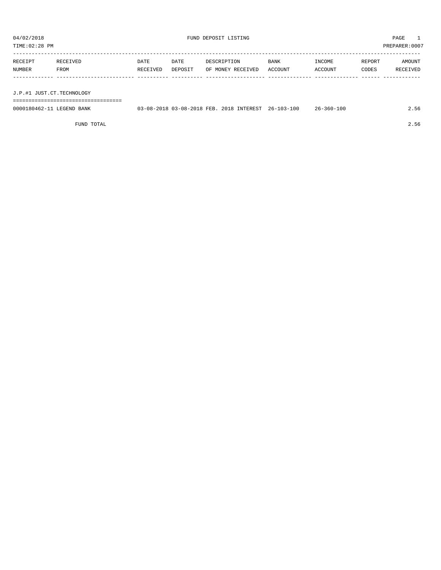TIME:02:28 PM PREPARER:0007

| RECEIPT | RECEIVED                  | DATE     | DATE    | DESCRIPTION       | <b>BANK</b> | INCOME  | REPORT | AMOUNT   |
|---------|---------------------------|----------|---------|-------------------|-------------|---------|--------|----------|
| NUMBER  | FROM                      | RECEIVED | DEPOSIT | OF MONEY RECEIVED | ACCOUNT     | ACCOUNT | CODES  | RECEIVED |
|         |                           |          |         |                   |             |         |        |          |
|         |                           |          |         |                   |             |         |        |          |
|         | J.P.#1 JUST.CT.TECHNOLOGY |          |         |                   |             |         |        |          |

===================================

| 0000180462-11<br>LEGEND BANK | 03-08-2018 03-08-2018 FEB. | 2018 INTEREST | $26 - 103 - 100$ | $26 - 360 - 100$ | 2.56 |
|------------------------------|----------------------------|---------------|------------------|------------------|------|

FUND TOTAL 2.56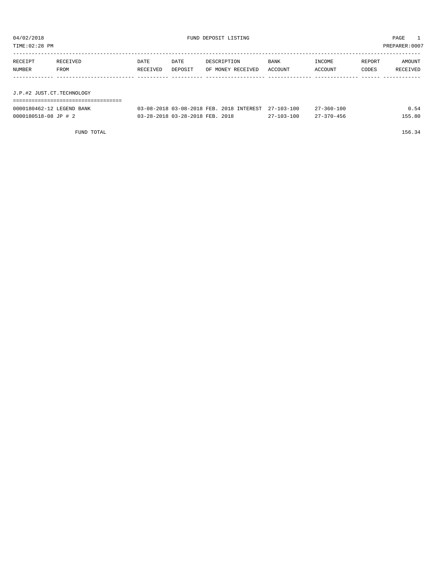| TIME:02:28 PM             |          |          |                                 |                                          |                  |                  |        | PREPARER: 0007 |
|---------------------------|----------|----------|---------------------------------|------------------------------------------|------------------|------------------|--------|----------------|
| RECEIPT                   | RECEIVED | DATE     | DATE                            | DESCRIPTION                              | BANK             | INCOME           | REPORT | AMOUNT         |
| NUMBER                    | FROM     | RECEIVED | DEPOSIT                         | OF MONEY RECEIVED                        | ACCOUNT          | ACCOUNT          | CODES  | RECEIVED       |
|                           |          |          |                                 |                                          |                  |                  |        |                |
| J.P.#2 JUST.CT.TECHNOLOGY |          |          |                                 |                                          |                  |                  |        |                |
| 0000180462-12 LEGEND BANK |          |          |                                 | 03-08-2018 03-08-2018 FEB. 2018 INTEREST | $27 - 103 - 100$ | $27 - 360 - 100$ |        | 0.54           |
| 0000180518-08 JP # 2      |          |          | 03-28-2018 03-28-2018 FEB. 2018 |                                          | $27 - 103 - 100$ | $27 - 370 - 456$ |        | 155.80         |

FUND TOTAL 156.34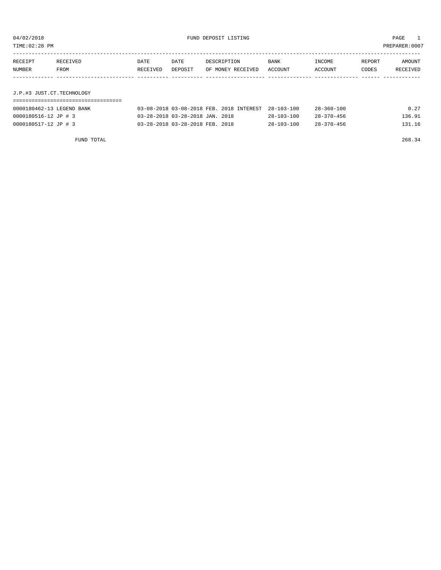| 04/02/2018<br>TIME: 02:28 PM | FUND DEPOSIT LISTING             |                  |                                 |                                          |                  |                   |                 | PAGE<br>PREPARER: 0007 |
|------------------------------|----------------------------------|------------------|---------------------------------|------------------------------------------|------------------|-------------------|-----------------|------------------------|
| RECEIPT<br>NUMBER            | RECEIVED<br>FROM                 | DATE<br>RECEIVED | DATE<br>DEPOSIT                 | DESCRIPTION<br>OF MONEY RECEIVED         | BANK<br>ACCOUNT  | INCOME<br>ACCOUNT | REPORT<br>CODES | AMOUNT<br>RECEIVED     |
|                              |                                  |                  |                                 |                                          |                  |                   |                 |                        |
| J.P.#3 JUST.CT.TECHNOLOGY    |                                  |                  |                                 |                                          |                  |                   |                 |                        |
|                              | ________________________________ |                  |                                 |                                          |                  |                   |                 |                        |
| 0000180462-13 LEGEND BANK    |                                  |                  |                                 | 03-08-2018 03-08-2018 FEB. 2018 INTEREST | $28 - 103 - 100$ | $28 - 360 - 100$  |                 | 0.27                   |
| 0000180516-12 JP # 3         |                                  |                  | 03-28-2018 03-28-2018 JAN. 2018 |                                          | $28 - 103 - 100$ | $28 - 370 - 456$  |                 | 136.91                 |
| 0000180517-12 JP # 3         |                                  |                  | 03-28-2018 03-28-2018 FEB. 2018 |                                          | $28 - 103 - 100$ | $28 - 370 - 456$  |                 | 131.16                 |

FUND TOTAL 268.34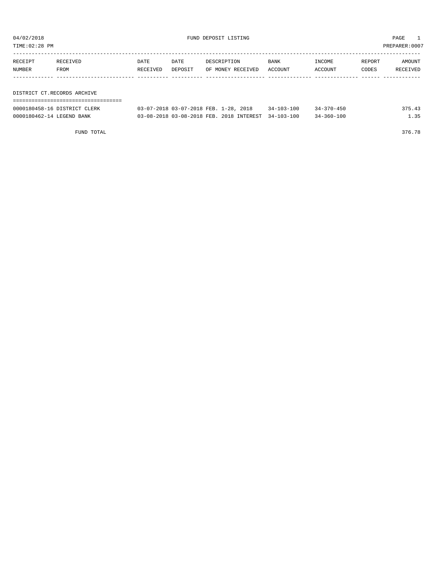| TIME:02:28 PM               |          |          |         |                   |             |         |        | PREPARER:0007 |
|-----------------------------|----------|----------|---------|-------------------|-------------|---------|--------|---------------|
|                             |          |          |         |                   |             |         |        |               |
| RECEIPT                     | RECEIVED | DATE     | DATE    | DESCRIPTION       | <b>BANK</b> | INCOME  | REPORT | AMOUNT        |
| NUMBER                      | FROM     | RECEIVED | DEPOSIT | OF MONEY RECEIVED | ACCOUNT     | ACCOUNT | CODES  | RECEIVED      |
|                             |          |          |         |                   |             |         |        |               |
|                             |          |          |         |                   |             |         |        |               |
| DISTRICT CT.RECORDS ARCHIVE |          |          |         |                   |             |         |        |               |
|                             |          |          |         |                   |             |         |        |               |

| 0000180458-16 DISTRICT CLERK | 03-07-2018 03-07-2018 FEB. 1-28, 2018               | $34 - 103 - 100$ | $34 - 370 - 450$ | 375.43 |
|------------------------------|-----------------------------------------------------|------------------|------------------|--------|
| 0000180462-14 LEGEND BANK    | 03-08-2018 03-08-2018 FEB. 2018 INTEREST 34-103-100 |                  | $34 - 360 - 100$ | . . 35 |

FUND TOTAL 376.78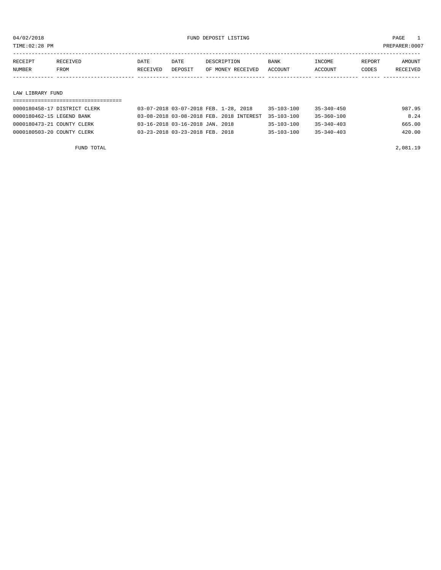TIME:02:28 PM PREPARER:0007

| RECEIPT | RECEIVED    | DATE     | DATE    | DESCRIPTION       | <b>BANK</b> | INCOME  | REPORT | AMOUNT   |
|---------|-------------|----------|---------|-------------------|-------------|---------|--------|----------|
| NUMBER  | <b>FROM</b> | RECEIVED | DEPOSIT | OF MONEY RECEIVED | ACCOUNT     | ACCOUNT | CODES  | RECEIVED |
|         |             |          |         |                   |             |         |        |          |

#### LAW LIBRARY FUND

#### ===================================

| 0000180458-17 DISTRICT CLERK | 03-07-2018 03-07-2018 FEB. 1-28, 2018               | $35 - 103 - 100$ | 35-340-450       | 987.95 |
|------------------------------|-----------------------------------------------------|------------------|------------------|--------|
| 0000180462-15 LEGEND BANK    | 03-08-2018 03-08-2018 FEB. 2018 INTEREST 35-103-100 |                  | $35 - 360 - 100$ | 8.24   |
| 0000180473-21 COUNTY CLERK   | $03-16-2018$ $03-16-2018$ JAN. 2018                 | $35 - 103 - 100$ | $35 - 340 - 403$ | 665.00 |
| 0000180503-20 COUNTY CLERK   | 03-23-2018 03-23-2018 FEB. 2018                     | $35 - 103 - 100$ | $35 - 340 - 403$ | 420.00 |

FUND TOTAL 2,081.19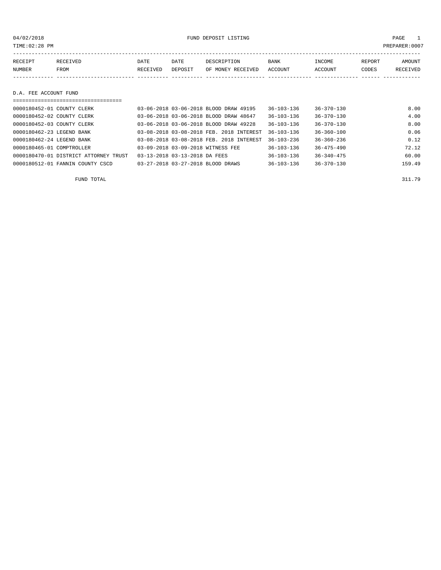04/02/2018 FUND DEPOSIT LISTING PAGE 1

| RECEIPT | <b>RECEIVED</b> | DATE     | DATE    | DESCRIPTION       | BANK    | INCOME  | <b>REPORT</b> | AMOUNT   |
|---------|-----------------|----------|---------|-------------------|---------|---------|---------------|----------|
| NUMBER  | FROM            | RECEIVED | DEPOSIT | OF MONEY RECEIVED | ACCOUNT | ACCOUNT | CODES         | RECEIVED |
|         |                 |          |         |                   |         |         |               |          |

D.A. FEE ACCOUNT FUND

| 0000180452-01 COUNTY CLERK            | 03-06-2018 03-06-2018 BLOOD DRAW 49195   | $36 - 103 - 136$ | $36 - 370 - 130$ | 8.00   |
|---------------------------------------|------------------------------------------|------------------|------------------|--------|
| 0000180452-02 COUNTY CLERK            | 03-06-2018 03-06-2018 BLOOD DRAW 48647   | $36 - 103 - 136$ | $36 - 370 - 130$ | 4.00   |
| 0000180452-03 COUNTY CLERK            | 03-06-2018 03-06-2018 BLOOD DRAW 49228   | $36 - 103 - 136$ | $36 - 370 - 130$ | 8.00   |
| 0000180462-23 LEGEND BANK             | 03-08-2018 03-08-2018 FEB. 2018 INTEREST | $36 - 103 - 136$ | $36 - 360 - 100$ | 0.06   |
| 0000180462-24 LEGEND BANK             | 03-08-2018 03-08-2018 FEB. 2018 INTEREST | $36 - 103 - 236$ | $36 - 360 - 236$ | 0.12   |
| 0000180465-01 COMPTROLLER             | 03-09-2018 03-09-2018 WITNESS FEE        | 36-103-136       | $36 - 475 - 490$ | 72.12  |
| 0000180470-01 DISTRICT ATTORNEY TRUST | 03-13-2018 03-13-2018 DA FEES            | $36 - 103 - 136$ | $36 - 340 - 475$ | 60.00  |
| 0000180512-01 FANNIN COUNTY CSCD      | 03-27-2018 03-27-2018 BLOOD DRAWS        | $36 - 103 - 136$ | $36 - 370 - 130$ | 159.49 |

FUND TOTAL 311.79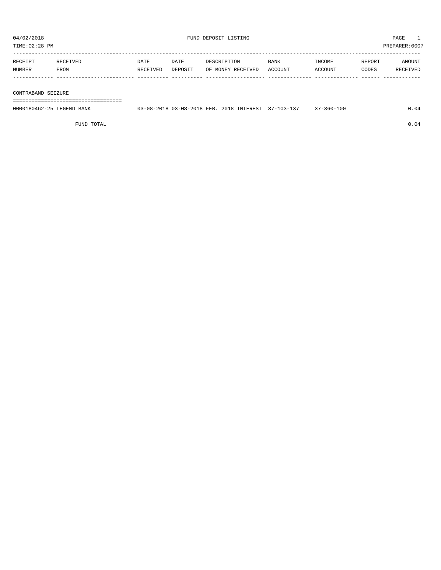TIME:02:28 PM PREPARER:0007

| RECEIPT | RECEIVED | DATE     | DATE    | DESCRIPTION       | <b>BANK</b> | <b>NCOME</b>  | REPORT | AMOUNT          |
|---------|----------|----------|---------|-------------------|-------------|---------------|--------|-----------------|
| NUMBER  | FROM     | RECEIVED | DEPOSIT | OF MONEY RECEIVED | ACCOUNT     | <b>CCOUNT</b> | CODES  | <b>RECEIVED</b> |
|         |          |          |         |                   |             |               |        |                 |

#### CONTRABAND SEIZURE

===================================

| 0000180462-25 LEGEND BANK | 03-08-2018 03-08-2018 FEB. 2018 INTEREST 37-103-137 |  | $17 - 360 - 100$ |  |
|---------------------------|-----------------------------------------------------|--|------------------|--|
|                           |                                                     |  |                  |  |

FUND TOTAL  $0.04$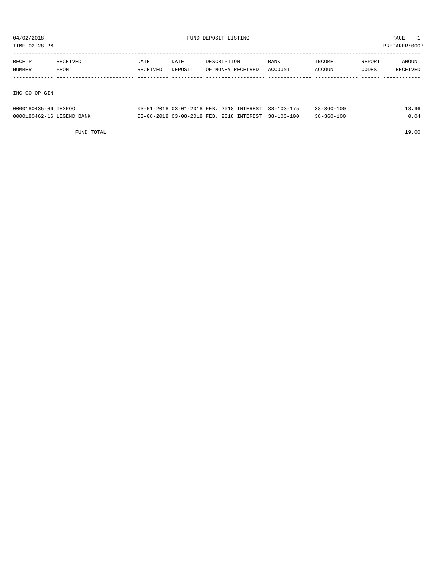TIME:02:28 PM PREPARER:0007

| RECEIPT       | RECEIVED | <b>DATE</b> | DATE    | DESCRIPTION       | <b>BANK</b> | INCOME  | REPORT | AMOUNT   |
|---------------|----------|-------------|---------|-------------------|-------------|---------|--------|----------|
| NUMBER        | FROM     | RECEIVED    | DEPOSIT | OF MONEY RECEIVED | ACCOUNT     | ACCOUNT | CODES  | RECEIVED |
|               |          |             |         |                   |             |         |        |          |
|               |          |             |         |                   |             |         |        |          |
| THO OO OD OTH |          |             |         |                   |             |         |        |          |

IHC CO-OP GIN

| ================================= |                                                     |  |                  |       |
|-----------------------------------|-----------------------------------------------------|--|------------------|-------|
| 0000180435-06 TEXPOOL             | 03-01-2018 03-01-2018 FEB. 2018 INTEREST 38-103-175 |  | $38 - 360 - 100$ | 18.96 |
| 0000180462-16 LEGEND BANK         | 03-08-2018 03-08-2018 FEB. 2018 INTEREST 38-103-100 |  | $38 - 360 - 100$ | 0.04  |

FUND TOTAL 19.00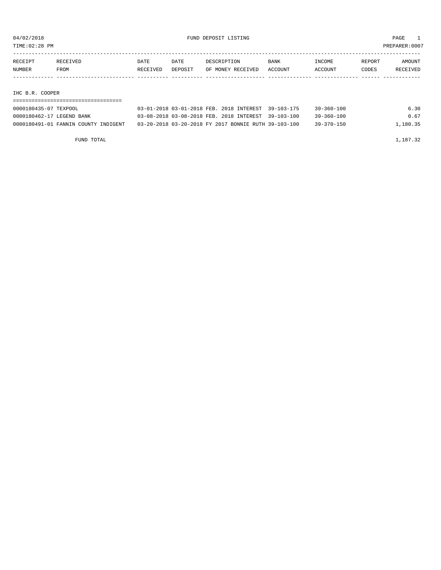TIME:02:28 PM PREPARER:0007

| RECEIPT | RECEIVED        | DATE     | DATE    | DESCRIPTION       | <b>BANK</b> | INCOME  | REPORT | AMOUNT   |  |
|---------|-----------------|----------|---------|-------------------|-------------|---------|--------|----------|--|
| NUMBER  | FROM            | RECEIVED | DEPOSIT | OF MONEY RECEIVED | ACCOUNT     | ACCOUNT | CODES  | RECEIVED |  |
|         |                 |          |         |                   |             |         |        |          |  |
|         |                 |          |         |                   |             |         |        |          |  |
|         | IHC B.R. COOPER |          |         |                   |             |         |        |          |  |
|         |                 |          |         |                   |             |         |        |          |  |

| 0000180435-07 TEXPOOL                | 03-01-2018 03-01-2018 FEB. 2018 INTEREST 39-103-175  | $39 - 360 - 100$ | 6.30     |
|--------------------------------------|------------------------------------------------------|------------------|----------|
| 0000180462-17 LEGEND BANK            | 03-08-2018 03-08-2018 FEB. 2018 INTEREST 39-103-100  | $39 - 360 - 100$ | 0.67     |
| 0000180491-01 FANNIN COUNTY INDIGENT | 03-20-2018 03-20-2018 FY 2017 BONNIE RUTH 39-103-100 | $39 - 370 - 150$ | 1,180.35 |
|                                      |                                                      |                  |          |

FUND TOTAL 1,187.32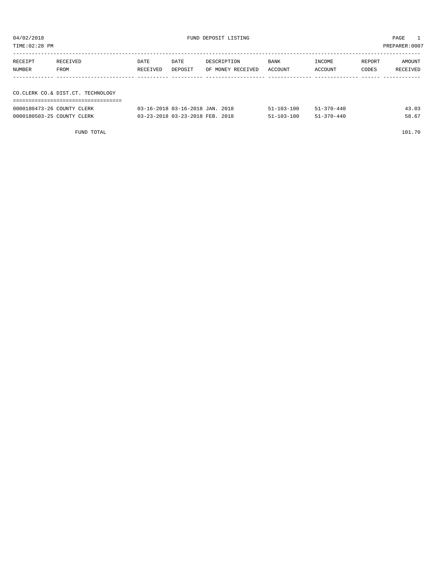| TIME:02:28 PM |                                   |          |                                 |                   |                  |                  | PREPARER:0007 |          |
|---------------|-----------------------------------|----------|---------------------------------|-------------------|------------------|------------------|---------------|----------|
|               |                                   |          |                                 |                   |                  |                  |               |          |
| RECEIPT       | RECEIVED                          | DATE     | DATE                            | DESCRIPTION       | BANK             | INCOME           | REPORT        | AMOUNT   |
| NUMBER        | FROM                              | RECEIVED | DEPOSIT                         | OF MONEY RECEIVED | ACCOUNT          | ACCOUNT          | CODES         | RECEIVED |
|               |                                   |          |                                 |                   |                  |                  |               |          |
|               |                                   |          |                                 |                   |                  |                  |               |          |
|               | CO.CLERK CO.& DIST.CT. TECHNOLOGY |          |                                 |                   |                  |                  |               |          |
|               |                                   |          |                                 |                   |                  |                  |               |          |
|               | 0000180473-26 COUNTY CLERK        |          | 03-16-2018 03-16-2018 JAN. 2018 |                   | $51 - 103 - 100$ | $51 - 370 - 440$ |               | 43.03    |

| FUND TOTAL |  | 101.70 |
|------------|--|--------|
|            |  |        |

0000180503-25 COUNTY CLERK 67 03-23-2018 03-23-2018 FEB. 2018 51-103-100 51-370-440 58.67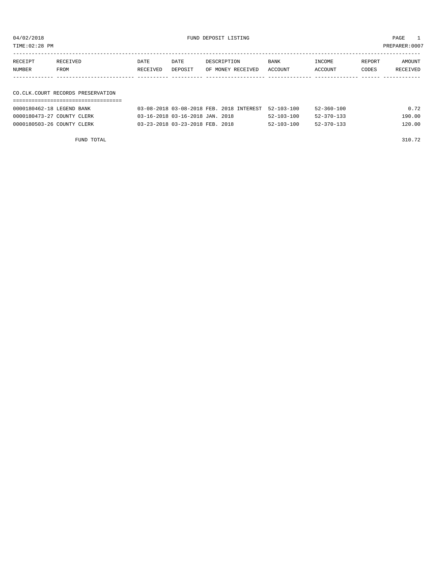04/02/2018 FUND DEPOSIT LISTING PAGE 1

| RECEIPT | RECEIVED                          | DATE     | DATE    | DESCRIPTION       | <b>BANK</b> | INCOME  | REPORT | AMOUNT   |
|---------|-----------------------------------|----------|---------|-------------------|-------------|---------|--------|----------|
| NUMBER  | FROM                              | RECEIVED | DEPOSIT | OF MONEY RECEIVED | ACCOUNT     | ACCOUNT | CODES  | RECEIVED |
|         |                                   |          |         |                   |             |         |        |          |
|         |                                   |          |         |                   |             |         |        |          |
|         | CO.CLK.COURT RECORDS PRESERVATION |          |         |                   |             |         |        |          |

#### ===================================

| 0000180462-18 LEGEND BANK  |  | 03-08-2018 03-08-2018 FEB. 2018 INTEREST 52-103-100 |                  | $52 - 360 - 100$ | 0.72   |
|----------------------------|--|-----------------------------------------------------|------------------|------------------|--------|
| 0000180473-27 COUNTY CLERK |  | 03-16-2018 03-16-2018 JAN. 2018                     | $52 - 103 - 100$ | $52 - 370 - 133$ | 190.00 |
| 0000180503-26 COUNTY CLERK |  | 03-23-2018 03-23-2018 FEB. 2018                     | $52 - 103 - 100$ | $52 - 370 - 133$ | 120.00 |

FUND TOTAL 310.72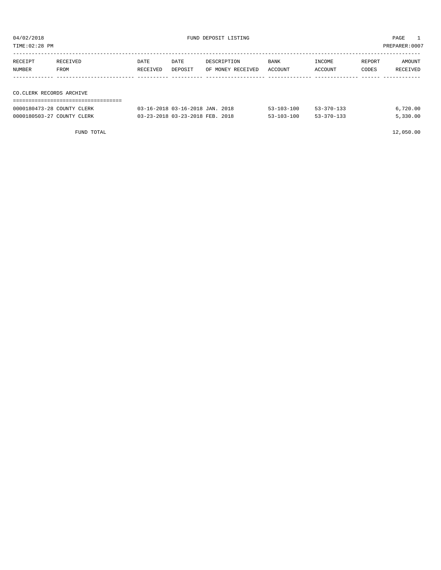| 04/02/2018<br>FUND DEPOSIT LISTING<br>TIME:02:28 PM |                  |                  |                                 |                                  |                  | PAGE<br>PREPARER:0007 |                 |                    |
|-----------------------------------------------------|------------------|------------------|---------------------------------|----------------------------------|------------------|-----------------------|-----------------|--------------------|
| RECEIPT<br>NUMBER                                   | RECEIVED<br>FROM | DATE<br>RECEIVED | DATE<br>DEPOSIT                 | DESCRIPTION<br>OF MONEY RECEIVED | BANK<br>ACCOUNT  | INCOME<br>ACCOUNT     | REPORT<br>CODES | AMOUNT<br>RECEIVED |
| CO.CLERK RECORDS ARCHIVE                            |                  |                  |                                 |                                  |                  |                       |                 |                    |
| 0000180473-28 COUNTY CLERK                          |                  |                  | 03-16-2018 03-16-2018 JAN. 2018 |                                  | $53 - 103 - 100$ | $53 - 370 - 133$      |                 | 6,720.00           |

0000180503-27 COUNTY CLERK 6 03-23-2018 03-23-2018 FEB. 2018 63-103-100 53-370-133 5,330.00

FUND TOTAL 12,050.00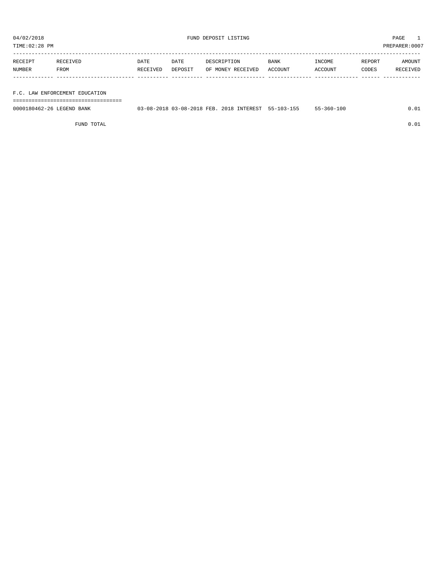TIME:02:28 PM PREPARER:0007

| RECEIPT | RECEIVED | <b>DATE</b> | DATE    | DESCRIPTION       | <b>BANK</b> | INCOME  | REPORT | AMOUNT   |
|---------|----------|-------------|---------|-------------------|-------------|---------|--------|----------|
| NUMBER  | FROM     | RECEIVED    | DEPOSIT | OF MONEY RECEIVED | ACCOUNT     | ACCOUNT | CODES  | RECEIVED |
|         |          |             |         |                   |             |         |        |          |

F.C. LAW ENFORCEMENT EDUCATION

===================================

| 0000180462-26 LEGEND BANK | 03-08-2018 03-08-2018 FEB. 2018 INTEREST |  | 55-103-155 | $55 - 360 - 100$ |  |
|---------------------------|------------------------------------------|--|------------|------------------|--|
|                           |                                          |  |            |                  |  |

FUND TOTAL  $0.01$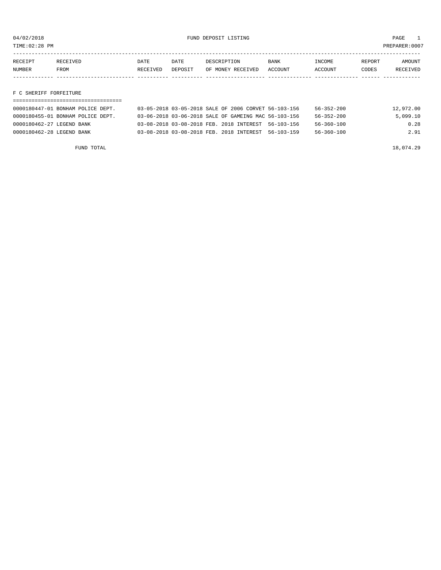TIME:02:28 PM PREPARER:0007

| RECEIPT       | RECEIVED | DATE     | DATE    | DESCRIPTION       | <b>BANK</b>    | <b>INCOME</b> | REPORT | <b>AMOUNT</b>   |
|---------------|----------|----------|---------|-------------------|----------------|---------------|--------|-----------------|
| <b>NUMBER</b> | FROM     | RECEIVED | DEPOSIT | OF MONEY RECEIVED | <b>ACCOUNT</b> | ACCOUNT       | CODES  | <b>RECEIVED</b> |
|               |          |          |         |                   |                |               |        |                 |

F C SHERIFF FORFEITURE

| 0000180447-01 BONHAM POLICE DEPT. | 03-05-2018 03-05-2018 SALE OF 2006 CORVET 56-103-156 | 12,972.00<br>56-352-200      |
|-----------------------------------|------------------------------------------------------|------------------------------|
| 0000180455-01 BONHAM POLICE DEPT. | 03-06-2018 03-06-2018 SALE OF GAMEING MAC 56-103-156 | $56 - 352 - 200$<br>5.099.10 |
| 0000180462-27 LEGEND BANK         | 03-08-2018 03-08-2018 FEB. 2018 INTEREST 56-103-156  | 0.28<br>$56 - 360 - 100$     |
| 0000180462-28 LEGEND BANK         | 03-08-2018 03-08-2018 FEB. 2018 INTEREST 56-103-159  | 2.91<br>56-360-100           |

FUND TOTAL  $18,074.29$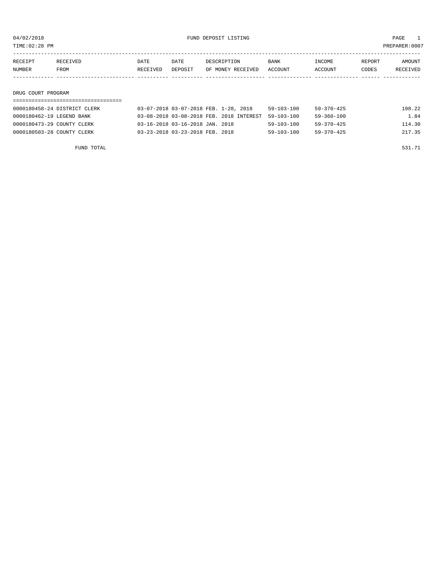TIME:02:28 PM PREPARER:0007

| RECEIPT            | RECEIVED | DATE     | DATE    | DESCRIPTION       | <b>BANK</b> | INCOME  | REPORT | AMOUNT   |  |  |
|--------------------|----------|----------|---------|-------------------|-------------|---------|--------|----------|--|--|
| NUMBER             | FROM     | RECEIVED | DEPOSIT | OF MONEY RECEIVED | ACCOUNT     | ACCOUNT | CODES  | RECEIVED |  |  |
|                    |          |          |         |                   |             |         |        |          |  |  |
|                    |          |          |         |                   |             |         |        |          |  |  |
| DRUG COURT PROGRAM |          |          |         |                   |             |         |        |          |  |  |
|                    |          |          |         |                   |             |         |        |          |  |  |

| 0000180458-24 DISTRICT CLERK | 03-07-2018 03-07-2018 FEB. 1-28, 2018               | $59 - 103 - 100$ | $59 - 370 - 425$ | 198.22 |
|------------------------------|-----------------------------------------------------|------------------|------------------|--------|
| 0000180462-19 LEGEND BANK    | 03-08-2018 03-08-2018 FEB. 2018 INTEREST 59-103-100 |                  | 59-360-100       | 1.84   |
| 0000180473-29 COUNTY CLERK   | 03-16-2018 03-16-2018 JAN. 2018                     | $59 - 103 - 100$ | $59 - 370 - 425$ | 114.30 |
| 0000180503-28 COUNTY CLERK   | 03-23-2018 03-23-2018 FEB. 2018                     | $59 - 103 - 100$ | 59-370-425       | 217.35 |

FUND TOTAL 531.71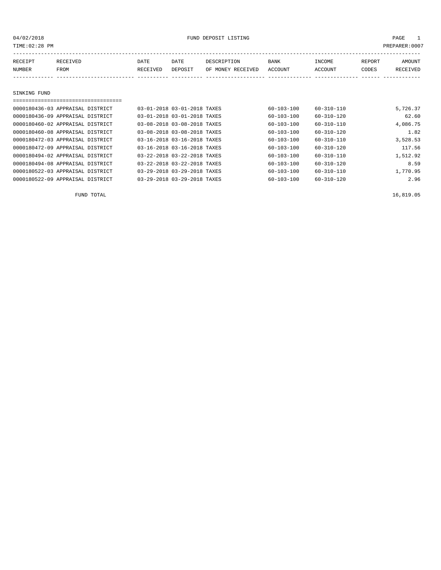| TIME: 02:28 PM |                                  |                             |         |                   |                  |                  |        | PREPARER: 0007 |
|----------------|----------------------------------|-----------------------------|---------|-------------------|------------------|------------------|--------|----------------|
| RECEIPT        | RECEIVED                         | DATE                        | DATE    | DESCRIPTION       | <b>BANK</b>      | INCOME           | REPORT | AMOUNT         |
| <b>NUMBER</b>  | <b>FROM</b>                      | RECEIVED                    | DEPOSIT | OF MONEY RECEIVED | <b>ACCOUNT</b>   | ACCOUNT          | CODES  | RECEIVED       |
|                |                                  |                             |         |                   |                  |                  |        |                |
| SINKING FUND   |                                  |                             |         |                   |                  |                  |        |                |
|                |                                  |                             |         |                   |                  |                  |        |                |
|                | 0000180436-03 APPRAISAL DISTRICT | 03-01-2018 03-01-2018 TAXES |         |                   | $60 - 103 - 100$ | $60 - 310 - 110$ |        | 5,726.37       |
|                | 0000180436-09 APPRAISAL DISTRICT | 03-01-2018 03-01-2018 TAXES |         |                   | 60-103-100       | $60 - 310 - 120$ |        | 62.60          |
|                | 0000180460-02 APPRAISAL DISTRICT | 03-08-2018 03-08-2018 TAXES |         |                   | $60 - 103 - 100$ | $60 - 310 - 110$ |        | 4,086.75       |
|                | 0000180460-08 APPRAISAL DISTRICT | 03-08-2018 03-08-2018 TAXES |         |                   | $60 - 103 - 100$ | $60 - 310 - 120$ |        | 1.82           |
|                | 0000180472-03 APPRAISAL DISTRICT | 03-16-2018 03-16-2018 TAXES |         |                   | 60-103-100       | $60 - 310 - 110$ |        | 3,528.53       |
|                | 0000180472-09 APPRAISAL DISTRICT | 03-16-2018 03-16-2018 TAXES |         |                   | $60 - 103 - 100$ | $60 - 310 - 120$ |        | 117.56         |
|                | 0000180494-02 APPRAISAL DISTRICT | 03-22-2018 03-22-2018 TAXES |         |                   | $60 - 103 - 100$ | $60 - 310 - 110$ |        | 1,512.92       |
|                | 0000180494-08 APPRAISAL DISTRICT | 03-22-2018 03-22-2018 TAXES |         |                   | $60 - 103 - 100$ | $60 - 310 - 120$ |        | 8.59           |
|                | 0000180522-03 APPRAISAL DISTRICT | 03-29-2018 03-29-2018 TAXES |         |                   | $60 - 103 - 100$ | $60 - 310 - 110$ |        | 1,770.95       |
|                | 0000180522-09 APPRAISAL DISTRICT | 03-29-2018 03-29-2018 TAXES |         |                   | $60 - 103 - 100$ | $60 - 310 - 120$ |        | 2.96           |

FUND TOTAL  $16,819.05$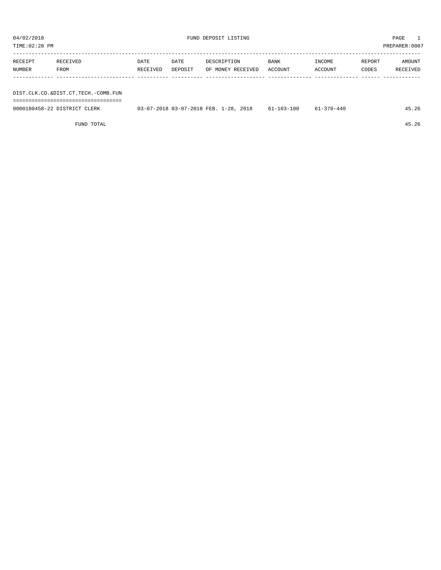| TIME:02:28 PM |                                     |          |         |                   |         |         |        | PREPARER:0007 |
|---------------|-------------------------------------|----------|---------|-------------------|---------|---------|--------|---------------|
|               |                                     |          |         |                   |         |         |        |               |
| RECEIPT       | RECEIVED                            | DATE     | DATE    | DESCRIPTION       | BANK    | INCOME  | REPORT | AMOUNT        |
| NUMBER        | FROM                                | RECEIVED | DEPOSIT | OF MONEY RECEIVED | ACCOUNT | ACCOUNT | CODES  | RECEIVED      |
|               |                                     |          |         |                   |         |         |        |               |
|               |                                     |          |         |                   |         |         |        |               |
|               | DIST.CLK.CO.&DIST.CT.TECH.-COMB.FUN |          |         |                   |         |         |        |               |

===================================

| 0000180458-22 DISTRICT CLERK | 03-07-2018 03-07-2018 FEB. 1-28, 2018 | 61-103-100 | 61-370-440 | 45.26 |
|------------------------------|---------------------------------------|------------|------------|-------|
|                              |                                       |            |            |       |

FUND TOTAL 45.26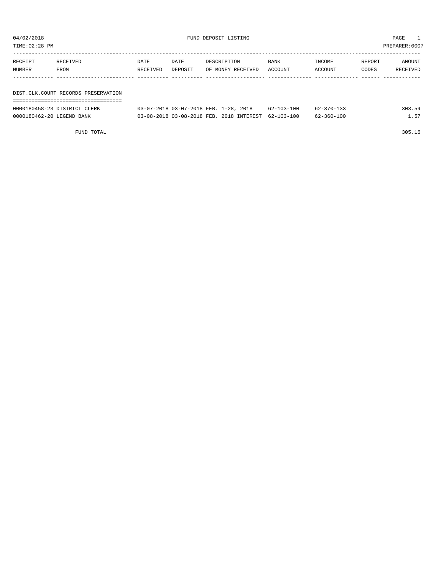| TIME:02:28 PM             |                                     |          |         |                                          |                  |                  |        | PREPARER:0007 |
|---------------------------|-------------------------------------|----------|---------|------------------------------------------|------------------|------------------|--------|---------------|
| RECEIPT                   | RECEIVED                            | DATE     | DATE    | DESCRIPTION                              | BANK             | INCOME           | REPORT | AMOUNT        |
| NUMBER                    | FROM                                | RECEIVED | DEPOSIT | OF MONEY RECEIVED                        | ACCOUNT          | ACCOUNT          | CODES  | RECEIVED      |
|                           |                                     |          |         |                                          |                  |                  |        |               |
|                           | DIST.CLK.COURT RECORDS PRESERVATION |          |         |                                          |                  |                  |        |               |
|                           | 0000180458-23 DISTRICT CLERK        |          |         | 03-07-2018 03-07-2018 FEB. 1-28, 2018    | $62 - 103 - 100$ | $62 - 370 - 133$ |        | 303.59        |
| 0000180462-20 LEGEND BANK |                                     |          |         | 03-08-2018 03-08-2018 FEB. 2018 INTEREST | $62 - 103 - 100$ | $62 - 360 - 100$ |        | 1.57          |

FUND TOTAL 305.16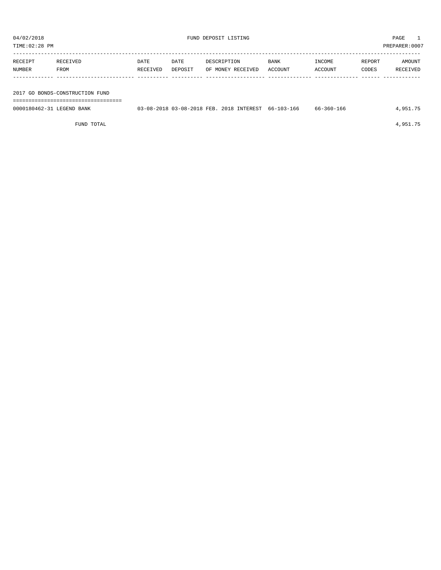TIME:02:28 PM PREPARER:0007 -----------------------------------------------------------------------------------------------------------------------------------

| RECEIPT                         | RECEIVED | DATE     | DATE    | DESCRIPTION       | <b>BANK</b> | INCOME  | REPORT | AMOUNT   |
|---------------------------------|----------|----------|---------|-------------------|-------------|---------|--------|----------|
| <b>NUMBER</b>                   | FROM     | RECEIVED | DEPOSIT | OF MONEY RECEIVED | ACCOUNT     | ACCOUNT | CODES  | RECEIVED |
|                                 |          |          |         |                   |             |         |        |          |
|                                 |          |          |         |                   |             |         |        |          |
| 2017 GO BONDS-CONSTRUCTION FUND |          |          |         |                   |             |         |        |          |

===================================

| 0000180462-31 LEGEND BANK |  | 03-08-2018 03-08-2018 FEB. 2018 INTEREST 66-103-166 | 66-360-166 | .951.75 |
|---------------------------|--|-----------------------------------------------------|------------|---------|
|                           |  |                                                     |            |         |

FUND TOTAL  $4,951.75$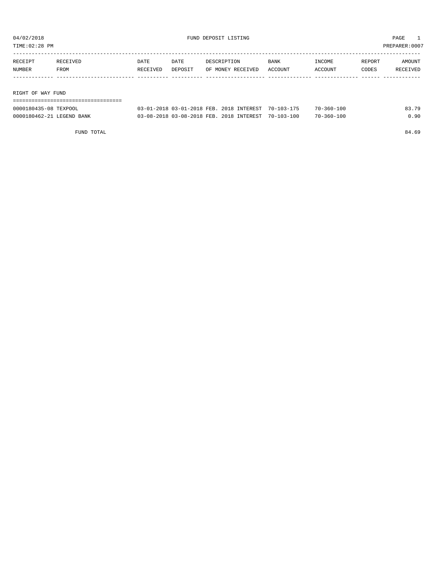TIME:02:28 PM PREPARER:0007

| RECEIPT | RECEIVED          | DATE     | DATE    | DESCRIPTION       | BANK    | INCOME  | REPORT | AMOUNT   |
|---------|-------------------|----------|---------|-------------------|---------|---------|--------|----------|
| NUMBER  | FROM              | RECEIVED | DEPOSIT | OF MONEY RECEIVED | ACCOUNT | ACCOUNT | CODES  | RECEIVED |
|         |                   |          |         |                   |         |         |        |          |
|         |                   |          |         |                   |         |         |        |          |
|         | RIGHT OF WAY FUND |          |         |                   |         |         |        |          |

| ========================== |                                                     |  |                  |       |
|----------------------------|-----------------------------------------------------|--|------------------|-------|
| 0000180435-08 TEXPOOL      | 03-01-2018 03-01-2018 FEB. 2018 INTEREST 70-103-175 |  | $70 - 360 - 100$ | 83.79 |
| 0000180462-21 LEGEND BANK  | 03-08-2018 03-08-2018 FEB. 2018 INTEREST 70-103-100 |  | $70 - 360 - 100$ | 0.90  |

FUND TOTAL 84.69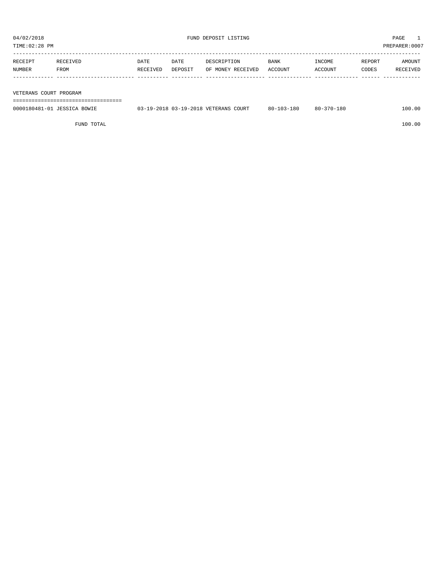TIME:02:28 PM PREPARER:0007

| RECEIPT | RECEIVED               | DATE     | DATE    | DESCRIPTION       | <b>BANK</b> | INCOME  | REPORT | AMOUNT   |
|---------|------------------------|----------|---------|-------------------|-------------|---------|--------|----------|
| NUMBER  | FROM                   | RECEIVED | DEPOSIT | OF MONEY RECEIVED | ACCOUNT     | ACCOUNT | CODES  | RECEIVED |
|         |                        |          |         |                   |             |         |        |          |
|         |                        |          |         |                   |             |         |        |          |
|         | VETERANS COURT PROGRAM |          |         |                   |             |         |        |          |

===================================

| 0000180481-01<br>JESSICA<br>BOWIE | 03-19-2018 03-19-2018 VETERANS COURT | $103 - 180$<br>$80 - 3$ | -370-180<br>$80 -$ | 100.00 |
|-----------------------------------|--------------------------------------|-------------------------|--------------------|--------|
|                                   |                                      |                         |                    |        |

FUND TOTAL 100.00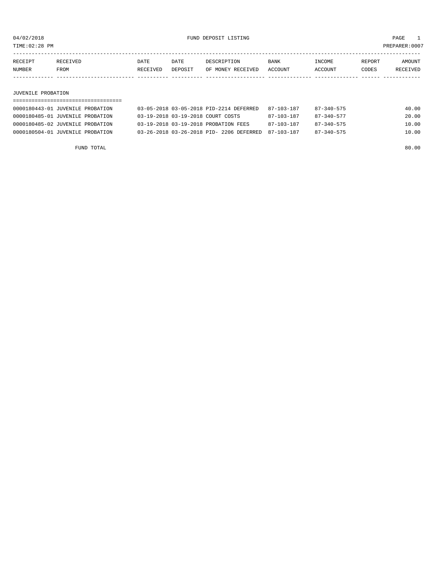TIME:02:28 PM PREPARER:0007

| RECEIPT | <b>RECEIVED</b> | DATE     | DATE    | DESCRIPTION       | BANK    | <b>INCOME</b> | REPORT | <b>AMOUNT</b>   |
|---------|-----------------|----------|---------|-------------------|---------|---------------|--------|-----------------|
| NUMBER  | FROM            | RECEIVED | DEPOSIT | OF MONEY RECEIVED | ACCOUNT | ACCOUNT       | CODES  | <b>RECEIVED</b> |
|         |                 |          |         |                   |         |               |        |                 |

#### JUVENILE PROBATION

| 0000180443-01 JUVENILE PROBATION | 03-05-2018 03-05-2018 PID-2214 DEFERRED  | 87-103-187 | 87-340-575       | 40.00 |
|----------------------------------|------------------------------------------|------------|------------------|-------|
| 0000180485-01 JUVENILE PROBATION | 03-19-2018 03-19-2018 COURT COSTS        | 87-103-187 | $87 - 340 - 577$ | 20.00 |
| 0000180485-02 JUVENILE PROBATION | 03-19-2018 03-19-2018 PROBATION FEES     | 87-103-187 | $87 - 340 - 575$ | 10.00 |
| 0000180504-01 JUVENILE PROBATION | 03-26-2018 03-26-2018 PID- 2206 DEFERRED | 87-103-187 | $87 - 340 - 575$ | 10.00 |

FUND TOTAL 80.00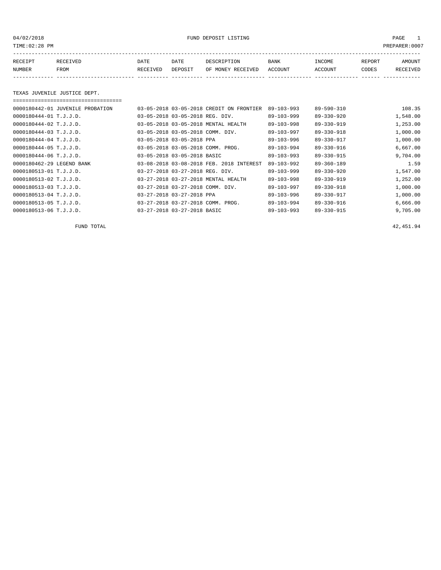04/02/2018 FUND DEPOSIT LISTING PAGE 1

| RECEIPT | <b>RECEIVED</b> | DATE     | DATE    | DESCRIPTION          | <b>BANK</b>    | INCOME  | <b>REPORT</b> | AMOUNT          |
|---------|-----------------|----------|---------|----------------------|----------------|---------|---------------|-----------------|
| NUMBER  | FROM            | RECEIVED | DEPOSIT | RECEIVED<br>OF MONEY | <b>ACCOUNT</b> | ACCOUNT | CODES         | <b>RECEIVED</b> |
|         |                 |          |         |                      |                |         |               |                 |

#### TEXAS JUVENILE JUSTICE DEPT.

| 0000180442-01 JUVENILE PROBATION |                                  | 03-05-2018 03-05-2018 CREDIT ON FRONTIER | $89 - 103 - 993$ | $89 - 590 - 310$ | 108.35   |
|----------------------------------|----------------------------------|------------------------------------------|------------------|------------------|----------|
| 0000180444-01 T.J.J.D.           | 03-05-2018 03-05-2018 REG. DIV.  |                                          | $89 - 103 - 999$ | $89 - 330 - 920$ | 1,548.00 |
| 0000180444-02 T.J.J.D.           |                                  | 03-05-2018 03-05-2018 MENTAL HEALTH      | $89 - 103 - 998$ | $89 - 330 - 919$ | 1,253.00 |
| 0000180444-03 T.J.J.D.           | 03-05-2018 03-05-2018 COMM. DIV. |                                          | $89 - 103 - 997$ | $89 - 330 - 918$ | 1,000.00 |
| 0000180444-04 T.J.J.D.           | 03-05-2018 03-05-2018 PPA        |                                          | $89 - 103 - 996$ | $89 - 330 - 917$ | 1,000.00 |
| 0000180444-05 T.J.J.D.           |                                  | 03-05-2018 03-05-2018 COMM. PROG.        | $89 - 103 - 994$ | $89 - 330 - 916$ | 6,667.00 |
| $0000180444 - 06$ T.J.J.D.       | 03-05-2018 03-05-2018 BASIC      |                                          | $89 - 103 - 993$ | $89 - 330 - 915$ | 9,704.00 |
| 0000180462-29 LEGEND BANK        |                                  | 03-08-2018 03-08-2018 FEB. 2018 INTEREST | $89 - 103 - 992$ | $89 - 360 - 189$ | 1.59     |
| 0000180513-01 T.J.J.D.           | 03-27-2018 03-27-2018 REG. DIV.  |                                          | $89 - 103 - 999$ | $89 - 330 - 920$ | 1,547.00 |
| 0000180513-02 T.J.J.D.           |                                  | 03-27-2018 03-27-2018 MENTAL HEALTH      | $89 - 103 - 998$ | $89 - 330 - 919$ | 1,252.00 |
| 0000180513-03 T.J.J.D.           | 03-27-2018 03-27-2018 COMM. DIV. |                                          | $89 - 103 - 997$ | $89 - 330 - 918$ | 1,000.00 |
| 0000180513-04 T.J.J.D.           | 03-27-2018 03-27-2018 PPA        |                                          | $89 - 103 - 996$ | $89 - 330 - 917$ | 1,000.00 |
| 0000180513-05 T.J.J.D.           |                                  | 03-27-2018 03-27-2018 COMM. PROG.        | $89 - 103 - 994$ | $89 - 330 - 916$ | 6,666.00 |
| 0000180513-06 T.J.J.D.           | 03-27-2018 03-27-2018 BASIC      |                                          | $89 - 103 - 993$ | $89 - 330 - 915$ | 9,705.00 |

FUND TOTAL 42,451.94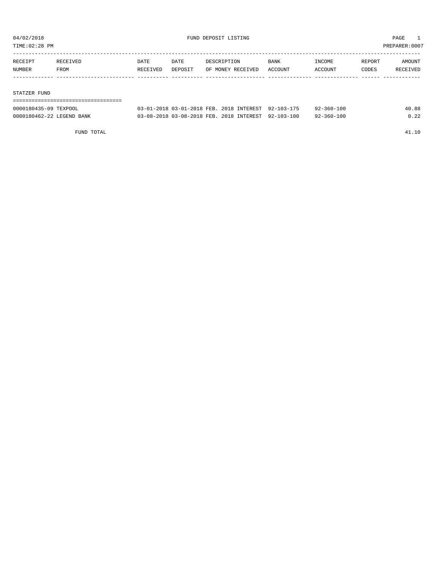TIME:02:28 PM PREPARER:0007

| RECEIPT      | RECEIVED | <b>DATE</b> | DATE    | DESCRIPTION       | <b>BANK</b> | INCOME  | REPORT | AMOUNT   |
|--------------|----------|-------------|---------|-------------------|-------------|---------|--------|----------|
| NUMBER       | FROM     | RECEIVED    | DEPOSIT | OF MONEY RECEIVED | ACCOUNT     | ACCOUNT | CODES  | RECEIVED |
|              |          |             |         |                   |             |         |        |          |
|              |          |             |         |                   |             |         |        |          |
| STATZER FUND |          |             |         |                   |             |         |        |          |

| ------------------------------------ |                                                     |  |                  |       |
|--------------------------------------|-----------------------------------------------------|--|------------------|-------|
| 0000180435-09 TEXPOOL                | 03-01-2018 03-01-2018 FEB. 2018 INTEREST 92-103-175 |  | $92 - 360 - 100$ | 40.88 |
| 0000180462-22 LEGEND BANK            | 03-08-2018 03-08-2018 FEB. 2018 INTEREST 92-103-100 |  | $92 - 360 - 100$ | 0.22  |

FUND TOTAL 41.10